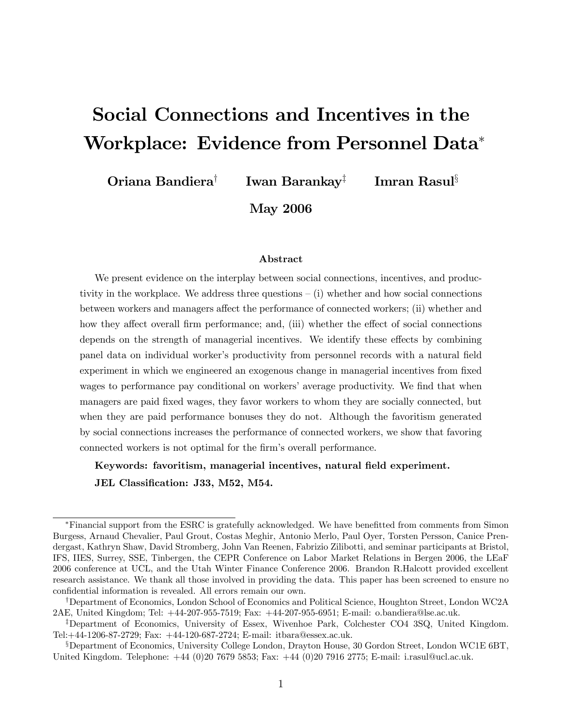# Social Connections and Incentives in the Workplace: Evidence from Personnel Data<sup>∗</sup>

Oriana Bandiera† Iwan Barankay‡ Imran Rasul§

May 2006

#### Abstract

We present evidence on the interplay between social connections, incentives, and productivity in the workplace. We address three questions — (i) whether and how social connections between workers and managers affect the performance of connected workers; (ii) whether and how they affect overall firm performance; and, (iii) whether the effect of social connections depends on the strength of managerial incentives. We identify these effects by combining panel data on individual worker's productivity from personnel records with a natural field experiment in which we engineered an exogenous change in managerial incentives from fixed wages to performance pay conditional on workers' average productivity. We find that when managers are paid fixed wages, they favor workers to whom they are socially connected, but when they are paid performance bonuses they do not. Although the favoritism generated by social connections increases the performance of connected workers, we show that favoring connected workers is not optimal for the firm's overall performance.

Keywords: favoritism, managerial incentives, natural field experiment. JEL Classification: J33, M52, M54.

<sup>∗</sup>Financial support from the ESRC is gratefully acknowledged. We have benefitted from comments from Simon Burgess, Arnaud Chevalier, Paul Grout, Costas Meghir, Antonio Merlo, Paul Oyer, Torsten Persson, Canice Prendergast, Kathryn Shaw, David Stromberg, John Van Reenen, Fabrizio Zilibotti, and seminar participants at Bristol, IFS, IIES, Surrey, SSE, Tinbergen, the CEPR Conference on Labor Market Relations in Bergen 2006, the LEaF 2006 conference at UCL, and the Utah Winter Finance Conference 2006. Brandon R.Halcott provided excellent research assistance. We thank all those involved in providing the data. This paper has been screened to ensure no confidential information is revealed. All errors remain our own.

<sup>†</sup>Department of Economics, London School of Economics and Political Science, Houghton Street, London WC2A 2AE, United Kingdom; Tel: +44-207-955-7519; Fax: +44-207-955-6951; E-mail: o.bandiera@lse.ac.uk.

<sup>‡</sup>Department of Economics, University of Essex, Wivenhoe Park, Colchester CO4 3SQ, United Kingdom. Tel:+44-1206-87-2729; Fax: +44-120-687-2724; E-mail: itbara@essex.ac.uk.

<sup>§</sup>Department of Economics, University College London, Drayton House, 30 Gordon Street, London WC1E 6BT, United Kingdom. Telephone: +44 (0)20 7679 5853; Fax: +44 (0)20 7916 2775; E-mail: i.rasul@ucl.ac.uk.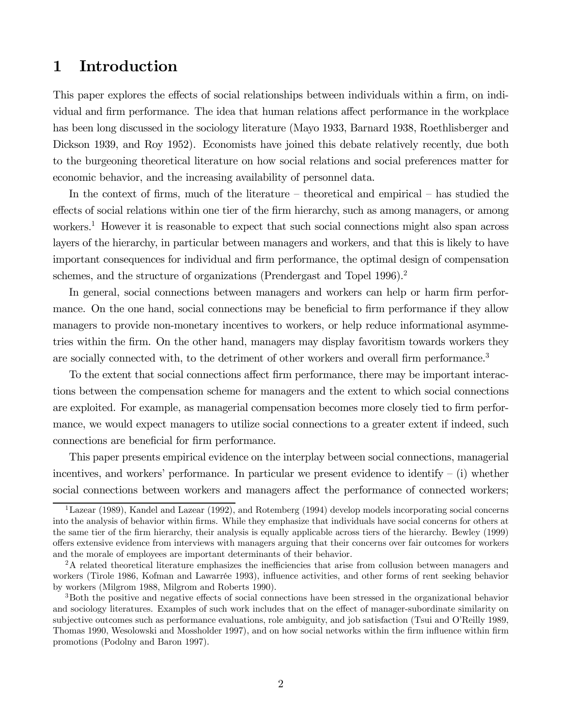## 1 Introduction

This paper explores the effects of social relationships between individuals within a firm, on individual and firm performance. The idea that human relations affect performance in the workplace has been long discussed in the sociology literature (Mayo 1933, Barnard 1938, Roethlisberger and Dickson 1939, and Roy 1952). Economists have joined this debate relatively recently, due both to the burgeoning theoretical literature on how social relations and social preferences matter for economic behavior, and the increasing availability of personnel data.

In the context of firms, much of the literature — theoretical and empirical — has studied the effects of social relations within one tier of the firm hierarchy, such as among managers, or among workers.<sup>1</sup> However it is reasonable to expect that such social connections might also span across layers of the hierarchy, in particular between managers and workers, and that this is likely to have important consequences for individual and firm performance, the optimal design of compensation schemes, and the structure of organizations (Prendergast and Topel 1996).<sup>2</sup>

In general, social connections between managers and workers can help or harm firm performance. On the one hand, social connections may be beneficial to firm performance if they allow managers to provide non-monetary incentives to workers, or help reduce informational asymmetries within the firm. On the other hand, managers may display favoritism towards workers they are socially connected with, to the detriment of other workers and overall firm performance.<sup>3</sup>

To the extent that social connections affect firm performance, there may be important interactions between the compensation scheme for managers and the extent to which social connections are exploited. For example, as managerial compensation becomes more closely tied to firm performance, we would expect managers to utilize social connections to a greater extent if indeed, such connections are beneficial for firm performance.

This paper presents empirical evidence on the interplay between social connections, managerial incentives, and workers' performance. In particular we present evidence to identify  $-$  (i) whether social connections between workers and managers affect the performance of connected workers;

 $1$ Lazear (1989), Kandel and Lazear (1992), and Rotemberg (1994) develop models incorporating social concerns into the analysis of behavior within firms. While they emphasize that individuals have social concerns for others at the same tier of the firm hierarchy, their analysis is equally applicable across tiers of the hierarchy. Bewley (1999) offers extensive evidence from interviews with managers arguing that their concerns over fair outcomes for workers and the morale of employees are important determinants of their behavior.

<sup>&</sup>lt;sup>2</sup>A related theoretical literature emphasizes the inefficiencies that arise from collusion between managers and workers (Tirole 1986, Kofman and Lawarrée 1993), influence activities, and other forms of rent seeking behavior by workers (Milgrom 1988, Milgrom and Roberts 1990).

<sup>3</sup>Both the positive and negative effects of social connections have been stressed in the organizational behavior and sociology literatures. Examples of such work includes that on the effect of manager-subordinate similarity on subjective outcomes such as performance evaluations, role ambiguity, and job satisfaction (Tsui and O'Reilly 1989, Thomas 1990, Wesolowski and Mossholder 1997), and on how social networks within the firm influence within firm promotions (Podolny and Baron 1997).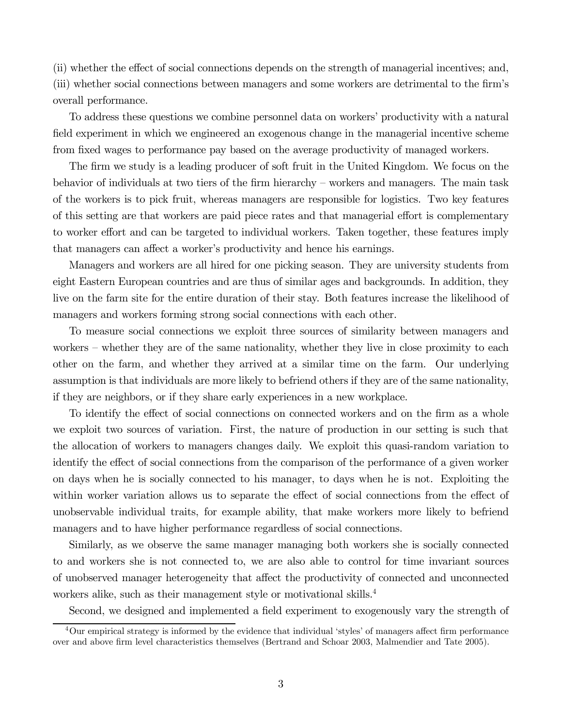(ii) whether the effect of social connections depends on the strength of managerial incentives; and, (iii) whether social connections between managers and some workers are detrimental to the firm's overall performance.

To address these questions we combine personnel data on workers' productivity with a natural field experiment in which we engineered an exogenous change in the managerial incentive scheme from fixed wages to performance pay based on the average productivity of managed workers.

The firm we study is a leading producer of soft fruit in the United Kingdom. We focus on the behavior of individuals at two tiers of the firm hierarchy — workers and managers. The main task of the workers is to pick fruit, whereas managers are responsible for logistics. Two key features of this setting are that workers are paid piece rates and that managerial effort is complementary to worker effort and can be targeted to individual workers. Taken together, these features imply that managers can affect a worker's productivity and hence his earnings.

Managers and workers are all hired for one picking season. They are university students from eight Eastern European countries and are thus of similar ages and backgrounds. In addition, they live on the farm site for the entire duration of their stay. Both features increase the likelihood of managers and workers forming strong social connections with each other.

To measure social connections we exploit three sources of similarity between managers and workers — whether they are of the same nationality, whether they live in close proximity to each other on the farm, and whether they arrived at a similar time on the farm. Our underlying assumption is that individuals are more likely to befriend others if they are of the same nationality, if they are neighbors, or if they share early experiences in a new workplace.

To identify the effect of social connections on connected workers and on the firm as a whole we exploit two sources of variation. First, the nature of production in our setting is such that the allocation of workers to managers changes daily. We exploit this quasi-random variation to identify the effect of social connections from the comparison of the performance of a given worker on days when he is socially connected to his manager, to days when he is not. Exploiting the within worker variation allows us to separate the effect of social connections from the effect of unobservable individual traits, for example ability, that make workers more likely to befriend managers and to have higher performance regardless of social connections.

Similarly, as we observe the same manager managing both workers she is socially connected to and workers she is not connected to, we are also able to control for time invariant sources of unobserved manager heterogeneity that affect the productivity of connected and unconnected workers alike, such as their management style or motivational skills.<sup>4</sup>

Second, we designed and implemented a field experiment to exogenously vary the strength of

<sup>&</sup>lt;sup>4</sup>Our empirical strategy is informed by the evidence that individual 'styles' of managers affect firm performance over and above firm level characteristics themselves (Bertrand and Schoar 2003, Malmendier and Tate 2005).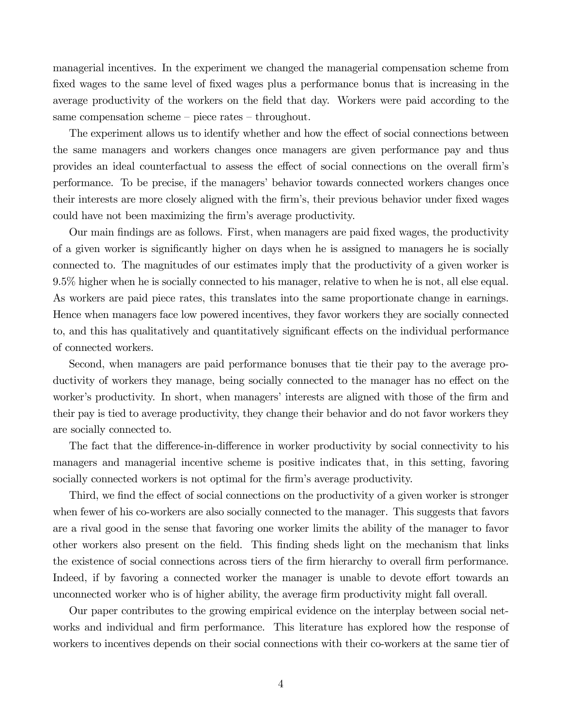managerial incentives. In the experiment we changed the managerial compensation scheme from fixed wages to the same level of fixed wages plus a performance bonus that is increasing in the average productivity of the workers on the field that day. Workers were paid according to the same compensation scheme — piece rates — throughout.

The experiment allows us to identify whether and how the effect of social connections between the same managers and workers changes once managers are given performance pay and thus provides an ideal counterfactual to assess the effect of social connections on the overall firm's performance. To be precise, if the managers' behavior towards connected workers changes once their interests are more closely aligned with the firm's, their previous behavior under fixed wages could have not been maximizing the firm's average productivity.

Our main findings are as follows. First, when managers are paid fixed wages, the productivity of a given worker is significantly higher on days when he is assigned to managers he is socially connected to. The magnitudes of our estimates imply that the productivity of a given worker is 9.5% higher when he is socially connected to his manager, relative to when he is not, all else equal. As workers are paid piece rates, this translates into the same proportionate change in earnings. Hence when managers face low powered incentives, they favor workers they are socially connected to, and this has qualitatively and quantitatively significant effects on the individual performance of connected workers.

Second, when managers are paid performance bonuses that tie their pay to the average productivity of workers they manage, being socially connected to the manager has no effect on the worker's productivity. In short, when managers' interests are aligned with those of the firm and their pay is tied to average productivity, they change their behavior and do not favor workers they are socially connected to.

The fact that the difference-in-difference in worker productivity by social connectivity to his managers and managerial incentive scheme is positive indicates that, in this setting, favoring socially connected workers is not optimal for the firm's average productivity.

Third, we find the effect of social connections on the productivity of a given worker is stronger when fewer of his co-workers are also socially connected to the manager. This suggests that favors are a rival good in the sense that favoring one worker limits the ability of the manager to favor other workers also present on the field. This finding sheds light on the mechanism that links the existence of social connections across tiers of the firm hierarchy to overall firm performance. Indeed, if by favoring a connected worker the manager is unable to devote effort towards an unconnected worker who is of higher ability, the average firm productivity might fall overall.

Our paper contributes to the growing empirical evidence on the interplay between social networks and individual and firm performance. This literature has explored how the response of workers to incentives depends on their social connections with their co-workers at the same tier of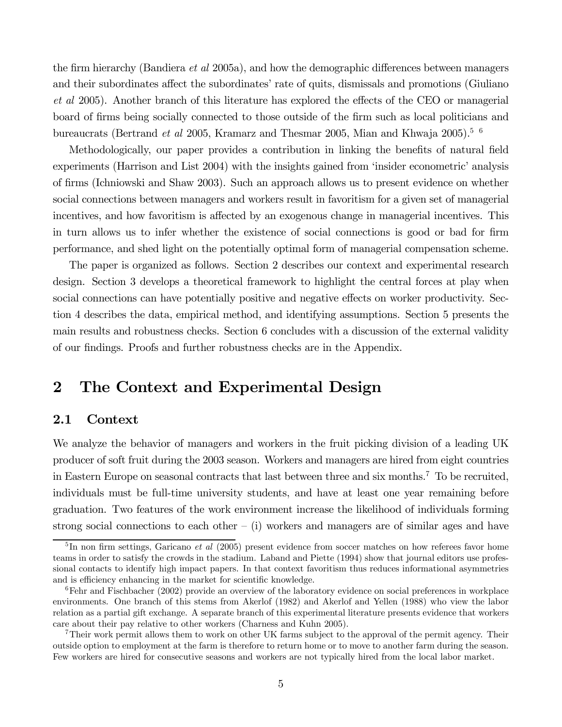the firm hierarchy (Bandiera *et al* 2005a), and how the demographic differences between managers and their subordinates affect the subordinates' rate of quits, dismissals and promotions (Giuliano et al 2005). Another branch of this literature has explored the effects of the CEO or managerial board of firms being socially connected to those outside of the firm such as local politicians and bureaucrats (Bertrand *et al* 2005, Kramarz and Thesmar 2005, Mian and Khwaja 2005).<sup>5</sup> <sup>6</sup>

Methodologically, our paper provides a contribution in linking the benefits of natural field experiments (Harrison and List 2004) with the insights gained from 'insider econometric' analysis of firms (Ichniowski and Shaw 2003). Such an approach allows us to present evidence on whether social connections between managers and workers result in favoritism for a given set of managerial incentives, and how favoritism is affected by an exogenous change in managerial incentives. This in turn allows us to infer whether the existence of social connections is good or bad for firm performance, and shed light on the potentially optimal form of managerial compensation scheme.

The paper is organized as follows. Section 2 describes our context and experimental research design. Section 3 develops a theoretical framework to highlight the central forces at play when social connections can have potentially positive and negative effects on worker productivity. Section 4 describes the data, empirical method, and identifying assumptions. Section 5 presents the main results and robustness checks. Section 6 concludes with a discussion of the external validity of our findings. Proofs and further robustness checks are in the Appendix.

## 2 The Context and Experimental Design

### 2.1 Context

We analyze the behavior of managers and workers in the fruit picking division of a leading UK producer of soft fruit during the 2003 season. Workers and managers are hired from eight countries in Eastern Europe on seasonal contracts that last between three and six months.7 To be recruited, individuals must be full-time university students, and have at least one year remaining before graduation. Two features of the work environment increase the likelihood of individuals forming strong social connections to each other  $-$  (i) workers and managers are of similar ages and have

<sup>&</sup>lt;sup>5</sup>In non firm settings, Garicano et al (2005) present evidence from soccer matches on how referees favor home teams in order to satisfy the crowds in the stadium. Laband and Piette (1994) show that journal editors use professional contacts to identify high impact papers. In that context favoritism thus reduces informational asymmetries and is efficiency enhancing in the market for scientific knowledge.

<sup>&</sup>lt;sup>6</sup>Fehr and Fischbacher (2002) provide an overview of the laboratory evidence on social preferences in workplace environments. One branch of this stems from Akerlof (1982) and Akerlof and Yellen (1988) who view the labor relation as a partial gift exchange. A separate branch of this experimental literature presents evidence that workers care about their pay relative to other workers (Charness and Kuhn 2005).

<sup>&</sup>lt;sup>7</sup>Their work permit allows them to work on other UK farms subject to the approval of the permit agency. Their outside option to employment at the farm is therefore to return home or to move to another farm during the season. Few workers are hired for consecutive seasons and workers are not typically hired from the local labor market.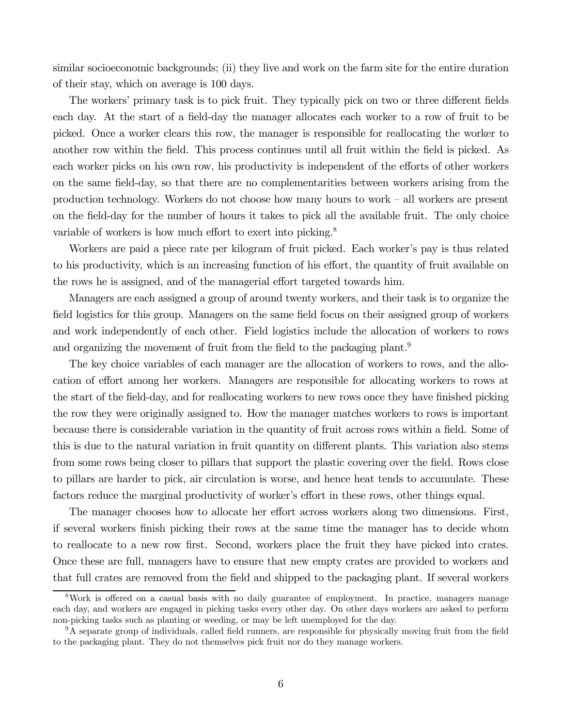similar socioeconomic backgrounds; (ii) they live and work on the farm site for the entire duration of their stay, which on average is 100 days.

The workers' primary task is to pick fruit. They typically pick on two or three different fields each day. At the start of a field-day the manager allocates each worker to a row of fruit to be picked. Once a worker clears this row, the manager is responsible for reallocating the worker to another row within the field. This process continues until all fruit within the field is picked. As each worker picks on his own row, his productivity is independent of the efforts of other workers on the same field-day, so that there are no complementarities between workers arising from the production technology. Workers do not choose how many hours to work — all workers are present on the field-day for the number of hours it takes to pick all the available fruit. The only choice variable of workers is how much effort to exert into picking.<sup>8</sup>

Workers are paid a piece rate per kilogram of fruit picked. Each worker's pay is thus related to his productivity, which is an increasing function of his effort, the quantity of fruit available on the rows he is assigned, and of the managerial effort targeted towards him.

Managers are each assigned a group of around twenty workers, and their task is to organize the field logistics for this group. Managers on the same field focus on their assigned group of workers and work independently of each other. Field logistics include the allocation of workers to rows and organizing the movement of fruit from the field to the packaging plant.<sup>9</sup>

The key choice variables of each manager are the allocation of workers to rows, and the allocation of effort among her workers. Managers are responsible for allocating workers to rows at the start of the field-day, and for reallocating workers to new rows once they have finished picking the row they were originally assigned to. How the manager matches workers to rows is important because there is considerable variation in the quantity of fruit across rows within a field. Some of this is due to the natural variation in fruit quantity on different plants. This variation also stems from some rows being closer to pillars that support the plastic covering over the field. Rows close to pillars are harder to pick, air circulation is worse, and hence heat tends to accumulate. These factors reduce the marginal productivity of worker's effort in these rows, other things equal.

The manager chooses how to allocate her effort across workers along two dimensions. First, if several workers finish picking their rows at the same time the manager has to decide whom to reallocate to a new row first. Second, workers place the fruit they have picked into crates. Once these are full, managers have to ensure that new empty crates are provided to workers and that full crates are removed from the field and shipped to the packaging plant. If several workers

<sup>&</sup>lt;sup>8</sup>Work is offered on a casual basis with no daily guarantee of employment. In practice, managers manage each day, and workers are engaged in picking tasks every other day. On other days workers are asked to perform non-picking tasks such as planting or weeding, or may be left unemployed for the day.

<sup>&</sup>lt;sup>9</sup>A separate group of individuals, called field runners, are responsible for physically moving fruit from the field to the packaging plant. They do not themselves pick fruit nor do they manage workers.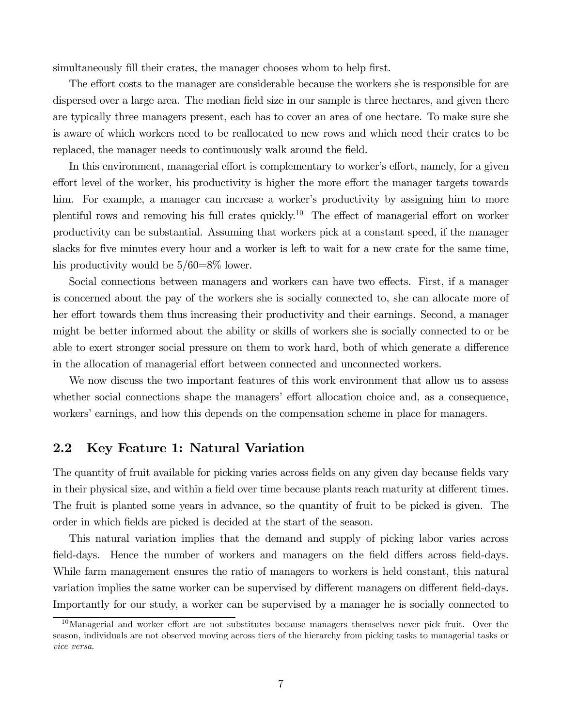simultaneously fill their crates, the manager chooses whom to help first.

The effort costs to the manager are considerable because the workers she is responsible for are dispersed over a large area. The median field size in our sample is three hectares, and given there are typically three managers present, each has to cover an area of one hectare. To make sure she is aware of which workers need to be reallocated to new rows and which need their crates to be replaced, the manager needs to continuously walk around the field.

In this environment, managerial effort is complementary to worker's effort, namely, for a given effort level of the worker, his productivity is higher the more effort the manager targets towards him. For example, a manager can increase a worker's productivity by assigning him to more plentiful rows and removing his full crates quickly.10 The effect of managerial effort on worker productivity can be substantial. Assuming that workers pick at a constant speed, if the manager slacks for five minutes every hour and a worker is left to wait for a new crate for the same time, his productivity would be  $5/60=8\%$  lower.

Social connections between managers and workers can have two effects. First, if a manager is concerned about the pay of the workers she is socially connected to, she can allocate more of her effort towards them thus increasing their productivity and their earnings. Second, a manager might be better informed about the ability or skills of workers she is socially connected to or be able to exert stronger social pressure on them to work hard, both of which generate a difference in the allocation of managerial effort between connected and unconnected workers.

We now discuss the two important features of this work environment that allow us to assess whether social connections shape the managers' effort allocation choice and, as a consequence, workers' earnings, and how this depends on the compensation scheme in place for managers.

## 2.2 Key Feature 1: Natural Variation

The quantity of fruit available for picking varies across fields on any given day because fields vary in their physical size, and within a field over time because plants reach maturity at different times. The fruit is planted some years in advance, so the quantity of fruit to be picked is given. The order in which fields are picked is decided at the start of the season.

This natural variation implies that the demand and supply of picking labor varies across field-days. Hence the number of workers and managers on the field differs across field-days. While farm management ensures the ratio of managers to workers is held constant, this natural variation implies the same worker can be supervised by different managers on different field-days. Importantly for our study, a worker can be supervised by a manager he is socially connected to

 $10$ Managerial and worker effort are not substitutes because managers themselves never pick fruit. Over the season, individuals are not observed moving across tiers of the hierarchy from picking tasks to managerial tasks or vice versa.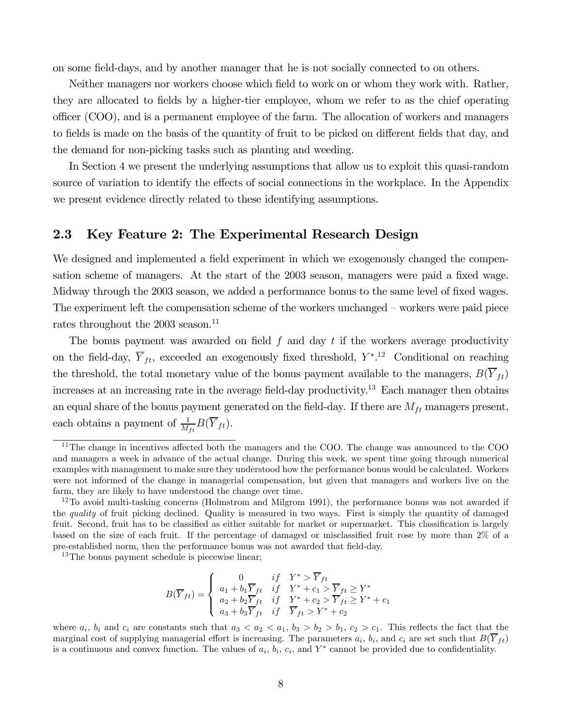on some field-days, and by another manager that he is not socially connected to on others.

Neither managers nor workers choose which field to work on or whom they work with. Rather, they are allocated to fields by a higher-tier employee, whom we refer to as the chief operating officer (COO), and is a permanent employee of the farm. The allocation of workers and managers to fields is made on the basis of the quantity of fruit to be picked on different fields that day, and the demand for non-picking tasks such as planting and weeding.

In Section 4 we present the underlying assumptions that allow us to exploit this quasi-random source of variation to identify the effects of social connections in the workplace. In the Appendix we present evidence directly related to these identifying assumptions.

### 2.3 Key Feature 2: The Experimental Research Design

We designed and implemented a field experiment in which we exogenously changed the compensation scheme of managers. At the start of the 2003 season, managers were paid a fixed wage. Midway through the 2003 season, we added a performance bonus to the same level of fixed wages. The experiment left the compensation scheme of the workers unchanged — workers were paid piece rates throughout the  $2003$  season.<sup>11</sup>

The bonus payment was awarded on field  $f$  and day  $t$  if the workers average productivity on the field-day,  $\overline{Y}_{ft}$ , exceeded an exogenously fixed threshold,  $Y^{*}$ .<sup>12</sup> Conditional on reaching the threshold, the total monetary value of the bonus payment available to the managers,  $B(\overline{Y}_{ft})$ increases at an increasing rate in the average field-day productivity.13 Each manager then obtains an equal share of the bonus payment generated on the field-day. If there are  $M_{ft}$  managers present, each obtains a payment of  $\frac{1}{M_{ft}}B(\overline{Y}_{ft})$ .

<sup>13</sup>The bonus payment schedule is piecewise linear:

$$
B(\overline{Y}_{ft}) = \begin{cases} 0 & if & Y^* > \overline{Y}_{ft} \\ a_1 + b_1 \overline{Y}_{ft} & if & Y^* + c_1 > \overline{Y}_{ft} \ge Y^* \\ a_2 + b_2 \overline{Y}_{ft} & if & Y^* + c_2 > \overline{Y}_{ft} \ge Y^* + c_1 \\ a_3 + b_3 \overline{Y}_{ft} & if & \overline{Y}_{ft} > Y^* + c_2 \end{cases}
$$

 $11$ The change in incentives affected both the managers and the COO. The change was announced to the COO and managers a week in advance of the actual change. During this week, we spent time going through numerical examples with management to make sure they understood how the performance bonus would be calculated. Workers were not informed of the change in managerial compensation, but given that managers and workers live on the farm, they are likely to have understood the change over time.

 $12$ To avoid multi-tasking concerns (Holmstrom and Milgrom 1991), the performance bonus was not awarded if the quality of fruit picking declined. Quality is measured in two ways. First is simply the quantity of damaged fruit. Second, fruit has to be classified as either suitable for market or supermarket. This classification is largely based on the size of each fruit. If the percentage of damaged or misclassified fruit rose by more than 2% of a pre-established norm, then the performance bonus was not awarded that field-day.

where  $a_i$ ,  $b_i$  and  $c_i$  are constants such that  $a_3 < a_2 < a_1$ ,  $b_3 > b_2 > b_1$ ,  $c_2 > c_1$ . This reflects the fact that the marginal cost of supplying managerial effort is increasing. The parameters  $a_i$ ,  $b_i$ , and  $c_i$  are set such that  $B(\overline{Y}_{ft})$ is a continuous and convex function. The values of  $a_i$ ,  $b_i$ ,  $c_i$ , and  $Y^*$  cannot be provided due to confidentiality.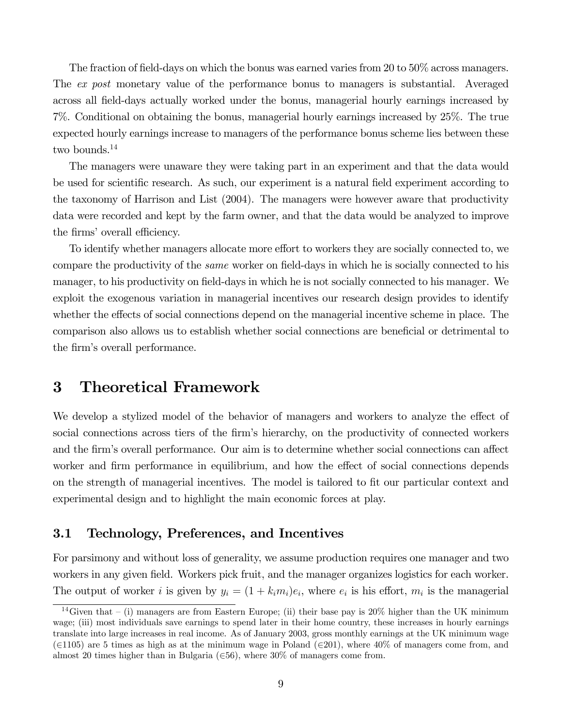The fraction of field-days on which the bonus was earned varies from 20 to 50% across managers. The ex post monetary value of the performance bonus to managers is substantial. Averaged across all field-days actually worked under the bonus, managerial hourly earnings increased by 7%. Conditional on obtaining the bonus, managerial hourly earnings increased by 25%. The true expected hourly earnings increase to managers of the performance bonus scheme lies between these two bounds.<sup>14</sup>

The managers were unaware they were taking part in an experiment and that the data would be used for scientific research. As such, our experiment is a natural field experiment according to the taxonomy of Harrison and List (2004). The managers were however aware that productivity data were recorded and kept by the farm owner, and that the data would be analyzed to improve the firms' overall efficiency.

To identify whether managers allocate more effort to workers they are socially connected to, we compare the productivity of the same worker on field-days in which he is socially connected to his manager, to his productivity on field-days in which he is not socially connected to his manager. We exploit the exogenous variation in managerial incentives our research design provides to identify whether the effects of social connections depend on the managerial incentive scheme in place. The comparison also allows us to establish whether social connections are beneficial or detrimental to the firm's overall performance.

## 3 Theoretical Framework

We develop a stylized model of the behavior of managers and workers to analyze the effect of social connections across tiers of the firm's hierarchy, on the productivity of connected workers and the firm's overall performance. Our aim is to determine whether social connections can affect worker and firm performance in equilibrium, and how the effect of social connections depends on the strength of managerial incentives. The model is tailored to fit our particular context and experimental design and to highlight the main economic forces at play.

## 3.1 Technology, Preferences, and Incentives

For parsimony and without loss of generality, we assume production requires one manager and two workers in any given field. Workers pick fruit, and the manager organizes logistics for each worker. The output of worker i is given by  $y_i = (1 + k_i m_i)e_i$ , where  $e_i$  is his effort,  $m_i$  is the managerial

<sup>&</sup>lt;sup>14</sup>Given that  $-$  (i) managers are from Eastern Europe; (ii) their base pay is 20% higher than the UK minimum wage; (iii) most individuals save earnings to spend later in their home country, these increases in hourly earnings translate into large increases in real income. As of January 2003, gross monthly earnings at the UK minimum wage  $(\infty)$  are 5 times as high as at the minimum wage in Poland  $(\infty)$ , where 40% of managers come from, and almost 20 times higher than in Bulgaria ( $\in 56$ ), where 30% of managers come from.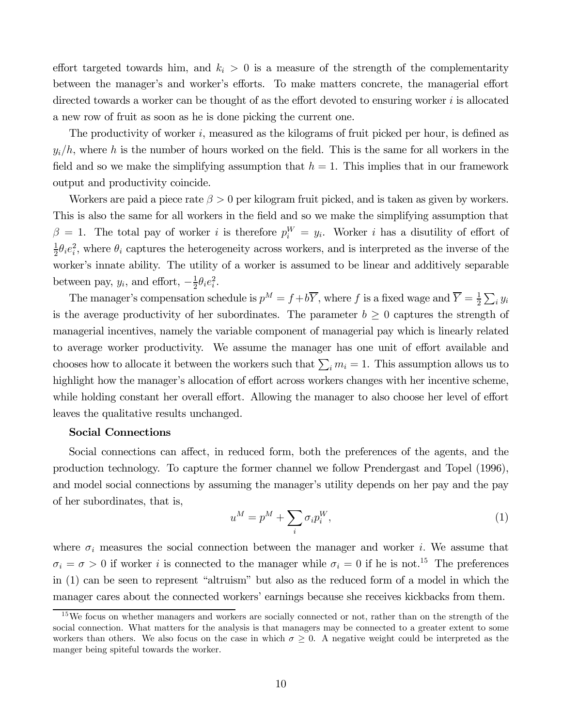effort targeted towards him, and  $k_i > 0$  is a measure of the strength of the complementarity between the manager's and worker's efforts. To make matters concrete, the managerial effort directed towards a worker can be thought of as the effort devoted to ensuring worker i is allocated a new row of fruit as soon as he is done picking the current one.

The productivity of worker i, measured as the kilograms of fruit picked per hour, is defined as  $y_i/h$ , where h is the number of hours worked on the field. This is the same for all workers in the field and so we make the simplifying assumption that  $h = 1$ . This implies that in our framework output and productivity coincide.

Workers are paid a piece rate  $\beta > 0$  per kilogram fruit picked, and is taken as given by workers. This is also the same for all workers in the field and so we make the simplifying assumption that  $\beta = 1$ . The total pay of worker *i* is therefore  $p_i^W = y_i$ . Worker *i* has a disutility of effort of  $\frac{1}{2}\theta_i e_i^2$ , where  $\theta_i$  captures the heterogeneity across workers, and is interpreted as the inverse of the worker's innate ability. The utility of a worker is assumed to be linear and additively separable between pay,  $y_i$ , and effort,  $-\frac{1}{2}\theta_i e_i^2$ .

The manager's compensation schedule is  $p^M = f + b\overline{Y}$ , where f is a fixed wage and  $\overline{Y} = \frac{1}{2} \sum_i y_i$ is the average productivity of her subordinates. The parameter  $b \geq 0$  captures the strength of managerial incentives, namely the variable component of managerial pay which is linearly related to average worker productivity. We assume the manager has one unit of effort available and chooses how to allocate it between the workers such that  $\sum_i m_i = 1$ . This assumption allows us to highlight how the manager's allocation of effort across workers changes with her incentive scheme, while holding constant her overall effort. Allowing the manager to also choose her level of effort leaves the qualitative results unchanged.

#### Social Connections

Social connections can affect, in reduced form, both the preferences of the agents, and the production technology. To capture the former channel we follow Prendergast and Topel (1996), and model social connections by assuming the manager's utility depends on her pay and the pay of her subordinates, that is,

$$
u^M = p^M + \sum_i \sigma_i p_i^W,\tag{1}
$$

where  $\sigma_i$  measures the social connection between the manager and worker *i*. We assume that  $\sigma_i = \sigma > 0$  if worker *i* is connected to the manager while  $\sigma_i = 0$  if he is not.<sup>15</sup> The preferences in (1) can be seen to represent "altruism" but also as the reduced form of a model in which the manager cares about the connected workers' earnings because she receives kickbacks from them.

<sup>&</sup>lt;sup>15</sup>We focus on whether managers and workers are socially connected or not, rather than on the strength of the social connection. What matters for the analysis is that managers may be connected to a greater extent to some workers than others. We also focus on the case in which  $\sigma \geq 0$ . A negative weight could be interpreted as the manger being spiteful towards the worker.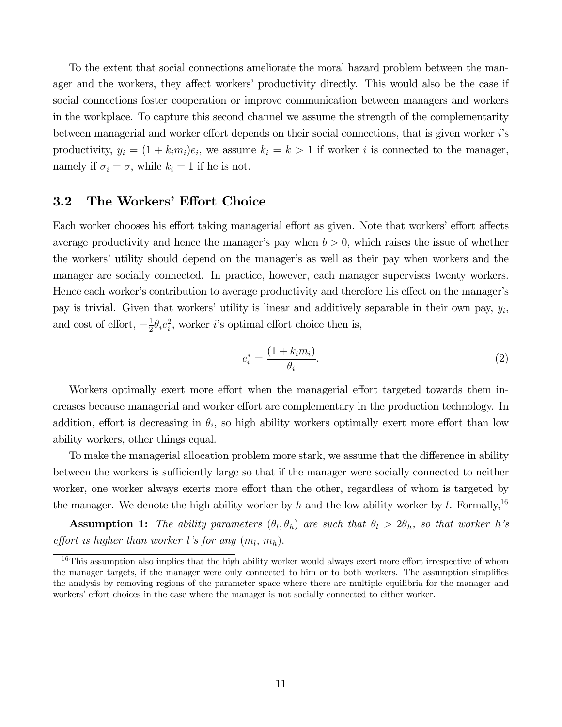To the extent that social connections ameliorate the moral hazard problem between the manager and the workers, they affect workers' productivity directly. This would also be the case if social connections foster cooperation or improve communication between managers and workers in the workplace. To capture this second channel we assume the strength of the complementarity between managerial and worker effort depends on their social connections, that is given worker i's productivity,  $y_i = (1 + k_i m_i)e_i$ , we assume  $k_i = k > 1$  if worker i is connected to the manager, namely if  $\sigma_i = \sigma$ , while  $k_i = 1$  if he is not.

## 3.2 The Workers' Effort Choice

Each worker chooses his effort taking managerial effort as given. Note that workers' effort affects average productivity and hence the manager's pay when  $b > 0$ , which raises the issue of whether the workers' utility should depend on the manager's as well as their pay when workers and the manager are socially connected. In practice, however, each manager supervises twenty workers. Hence each worker's contribution to average productivity and therefore his effect on the manager's pay is trivial. Given that workers' utility is linear and additively separable in their own pay,  $y_i$ , and cost of effort,  $-\frac{1}{2}\theta_i e_i^2$ , worker *i*'s optimal effort choice then is,

$$
e_i^* = \frac{(1 + k_i m_i)}{\theta_i}.\tag{2}
$$

Workers optimally exert more effort when the managerial effort targeted towards them increases because managerial and worker effort are complementary in the production technology. In addition, effort is decreasing in  $\theta_i$ , so high ability workers optimally exert more effort than low ability workers, other things equal.

To make the managerial allocation problem more stark, we assume that the difference in ability between the workers is sufficiently large so that if the manager were socially connected to neither worker, one worker always exerts more effort than the other, regardless of whom is targeted by the manager. We denote the high ability worker by h and the low ability worker by l. Formally,<sup>16</sup>

**Assumption 1:** The ability parameters  $(\theta_l, \theta_h)$  are such that  $\theta_l > 2\theta_h$ , so that worker h's effort is higher than worker l's for any  $(m_l, m_h)$ .

<sup>&</sup>lt;sup>16</sup>This assumption also implies that the high ability worker would always exert more effort irrespective of whom the manager targets, if the manager were only connected to him or to both workers. The assumption simplifies the analysis by removing regions of the parameter space where there are multiple equilibria for the manager and workers' effort choices in the case where the manager is not socially connected to either worker.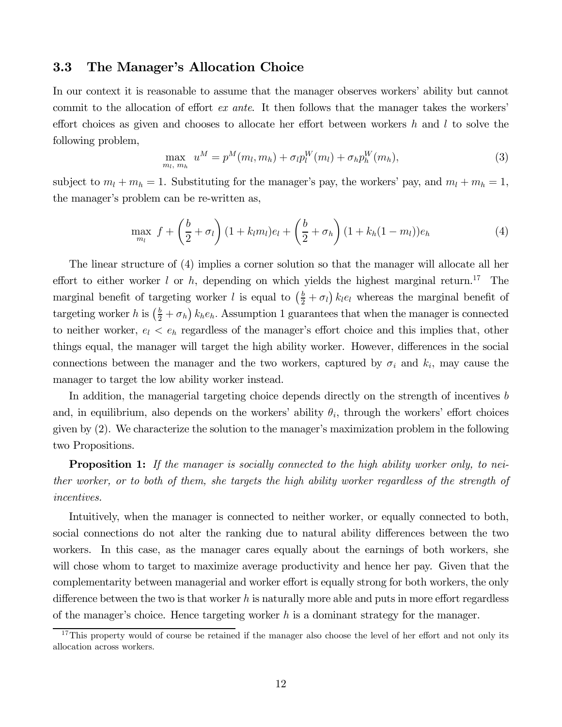## 3.3 The Manager's Allocation Choice

In our context it is reasonable to assume that the manager observes workers' ability but cannot commit to the allocation of effort ex ante. It then follows that the manager takes the workers' effort choices as given and chooses to allocate her effort between workers h and l to solve the following problem,

$$
\max_{m_l, m_h} u^M = p^M(m_l, m_h) + \sigma_l p_l^W(m_l) + \sigma_h p_h^W(m_h), \qquad (3)
$$

subject to  $m_l + m_h = 1$ . Substituting for the manager's pay, the workers' pay, and  $m_l + m_h = 1$ , the manager's problem can be re-written as,

$$
\max_{m_l} f + \left(\frac{b}{2} + \sigma_l\right) (1 + k_l m_l) e_l + \left(\frac{b}{2} + \sigma_h\right) (1 + k_h (1 - m_l)) e_h \tag{4}
$$

The linear structure of (4) implies a corner solution so that the manager will allocate all her effort to either worker l or h, depending on which yields the highest marginal return.<sup>17</sup> The marginal benefit of targeting worker l is equal to  $(\frac{b}{2} + \sigma_l) k_l e_l$  whereas the marginal benefit of targeting worker h is  $(\frac{b}{2} + \sigma_h) k_h e_h$ . Assumption 1 guarantees that when the manager is connected to neither worker,  $e_l \nless e_h$  regardless of the manager's effort choice and this implies that, other things equal, the manager will target the high ability worker. However, differences in the social connections between the manager and the two workers, captured by  $\sigma_i$  and  $k_i$ , may cause the manager to target the low ability worker instead.

In addition, the managerial targeting choice depends directly on the strength of incentives b and, in equilibrium, also depends on the workers' ability  $\theta_i$ , through the workers' effort choices given by (2). We characterize the solution to the manager's maximization problem in the following two Propositions.

**Proposition 1:** If the manager is socially connected to the high ability worker only, to neither worker, or to both of them, she targets the high ability worker regardless of the strength of incentives.

Intuitively, when the manager is connected to neither worker, or equally connected to both, social connections do not alter the ranking due to natural ability differences between the two workers. In this case, as the manager cares equally about the earnings of both workers, she will chose whom to target to maximize average productivity and hence her pay. Given that the complementarity between managerial and worker effort is equally strong for both workers, the only difference between the two is that worker  $h$  is naturally more able and puts in more effort regardless of the manager's choice. Hence targeting worker  $h$  is a dominant strategy for the manager.

<sup>&</sup>lt;sup>17</sup>This property would of course be retained if the manager also choose the level of her effort and not only its allocation across workers.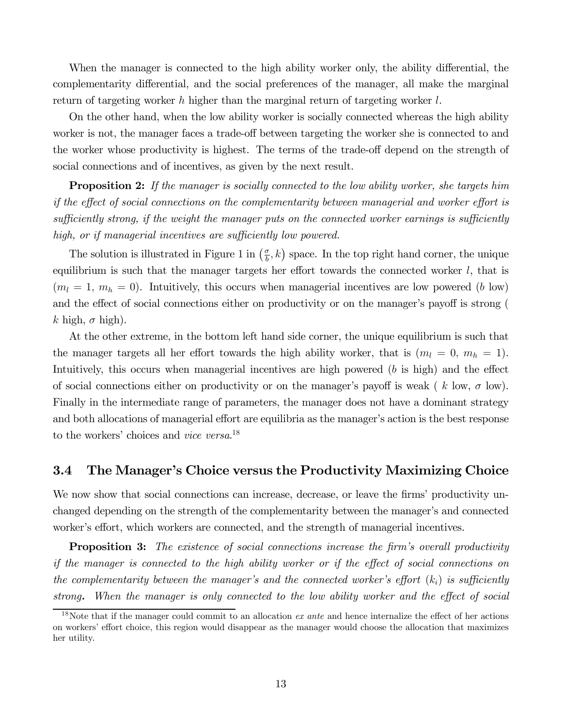When the manager is connected to the high ability worker only, the ability differential, the complementarity differential, and the social preferences of the manager, all make the marginal return of targeting worker h higher than the marginal return of targeting worker l.

On the other hand, when the low ability worker is socially connected whereas the high ability worker is not, the manager faces a trade-off between targeting the worker she is connected to and the worker whose productivity is highest. The terms of the trade-off depend on the strength of social connections and of incentives, as given by the next result.

**Proposition 2:** If the manager is socially connected to the low ability worker, she targets him if the effect of social connections on the complementarity between managerial and worker effort is sufficiently strong, if the weight the manager puts on the connected worker earnings is sufficiently high, or if managerial incentives are sufficiently low powered.

The solution is illustrated in Figure 1 in  $(\frac{\sigma}{b}, k)$  space. In the top right hand corner, the unique equilibrium is such that the manager targets her effort towards the connected worker  $l$ , that is  $(m_l = 1, m_h = 0)$ . Intuitively, this occurs when managerial incentives are low powered (b low) and the effect of social connections either on productivity or on the manager's payoff is strong ( k high,  $\sigma$  high).

At the other extreme, in the bottom left hand side corner, the unique equilibrium is such that the manager targets all her effort towards the high ability worker, that is  $(m_l = 0, m_h = 1)$ . Intuitively, this occurs when managerial incentives are high powered (b is high) and the effect of social connections either on productivity or on the manager's payoff is weak ( $k \text{ low}, \sigma \text{ low}$ ). Finally in the intermediate range of parameters, the manager does not have a dominant strategy and both allocations of managerial effort are equilibria as the manager's action is the best response to the workers' choices and *vice versa*.<sup>18</sup>

## 3.4 The Manager's Choice versus the Productivity Maximizing Choice

We now show that social connections can increase, decrease, or leave the firms' productivity unchanged depending on the strength of the complementarity between the manager's and connected worker's effort, which workers are connected, and the strength of managerial incentives.

**Proposition 3:** The existence of social connections increase the firm's overall productivity if the manager is connected to the high ability worker or if the effect of social connections on the complementarity between the manager's and the connected worker's effort  $(k_i)$  is sufficiently strong. When the manager is only connected to the low ability worker and the effect of social

<sup>&</sup>lt;sup>18</sup>Note that if the manager could commit to an allocation  $ex$  ante and hence internalize the effect of her actions on workers' effort choice, this region would disappear as the manager would choose the allocation that maximizes her utility.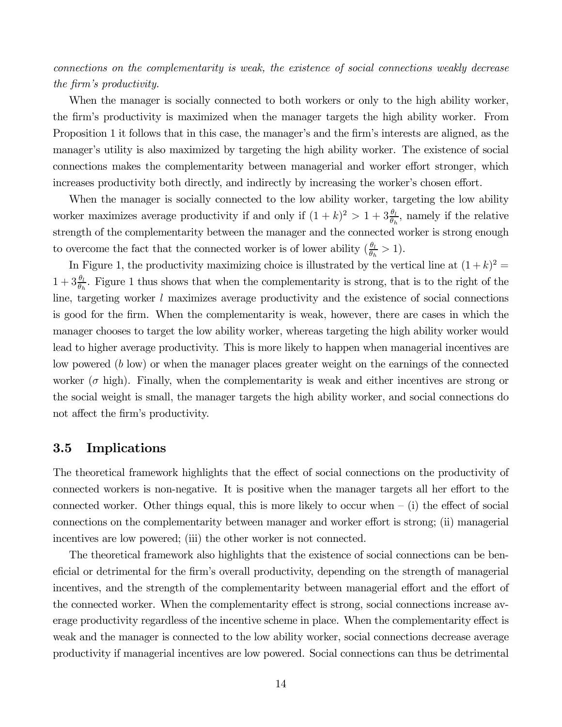connections on the complementarity is weak, the existence of social connections weakly decrease the firm's productivity.

When the manager is socially connected to both workers or only to the high ability worker, the firm's productivity is maximized when the manager targets the high ability worker. From Proposition 1 it follows that in this case, the manager's and the firm's interests are aligned, as the manager's utility is also maximized by targeting the high ability worker. The existence of social connections makes the complementarity between managerial and worker effort stronger, which increases productivity both directly, and indirectly by increasing the worker's chosen effort.

When the manager is socially connected to the low ability worker, targeting the low ability worker maximizes average productivity if and only if  $(1 + k)^2 > 1 + 3\frac{\theta_l}{\theta_h}$ , namely if the relative strength of the complementarity between the manager and the connected worker is strong enough to overcome the fact that the connected worker is of lower ability  $(\frac{\theta_l}{\theta_h} > 1)$ .

In Figure 1, the productivity maximizing choice is illustrated by the vertical line at  $(1 + k)^2$  $1+3\frac{\theta_l}{\theta_h}$ . Figure 1 thus shows that when the complementarity is strong, that is to the right of the line, targeting worker l maximizes average productivity and the existence of social connections is good for the firm. When the complementarity is weak, however, there are cases in which the manager chooses to target the low ability worker, whereas targeting the high ability worker would lead to higher average productivity. This is more likely to happen when managerial incentives are low powered (b low) or when the manager places greater weight on the earnings of the connected worker ( $\sigma$  high). Finally, when the complementarity is weak and either incentives are strong or the social weight is small, the manager targets the high ability worker, and social connections do not affect the firm's productivity.

## 3.5 Implications

The theoretical framework highlights that the effect of social connections on the productivity of connected workers is non-negative. It is positive when the manager targets all her effort to the connected worker. Other things equal, this is more likely to occur when  $-$  (i) the effect of social connections on the complementarity between manager and worker effort is strong; (ii) managerial incentives are low powered; (iii) the other worker is not connected.

The theoretical framework also highlights that the existence of social connections can be beneficial or detrimental for the firm's overall productivity, depending on the strength of managerial incentives, and the strength of the complementarity between managerial effort and the effort of the connected worker. When the complementarity effect is strong, social connections increase average productivity regardless of the incentive scheme in place. When the complementarity effect is weak and the manager is connected to the low ability worker, social connections decrease average productivity if managerial incentives are low powered. Social connections can thus be detrimental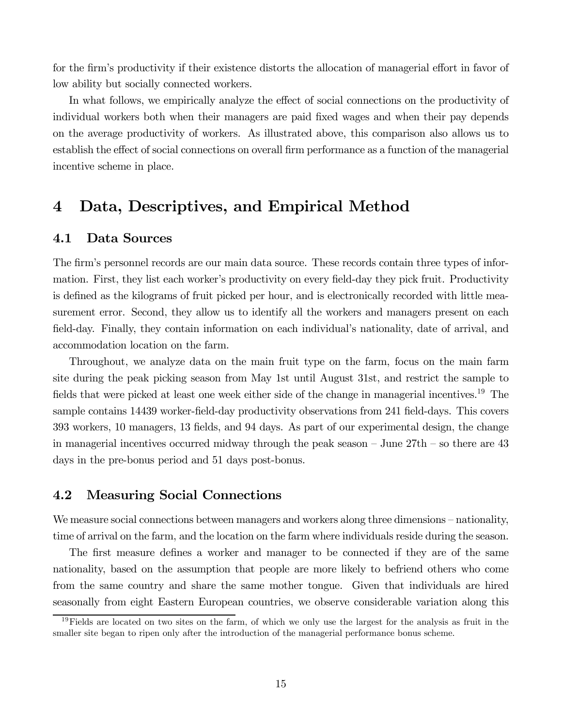for the firm's productivity if their existence distorts the allocation of managerial effort in favor of low ability but socially connected workers.

In what follows, we empirically analyze the effect of social connections on the productivity of individual workers both when their managers are paid fixed wages and when their pay depends on the average productivity of workers. As illustrated above, this comparison also allows us to establish the effect of social connections on overall firm performance as a function of the managerial incentive scheme in place.

## 4 Data, Descriptives, and Empirical Method

## 4.1 Data Sources

The firm's personnel records are our main data source. These records contain three types of information. First, they list each worker's productivity on every field-day they pick fruit. Productivity is defined as the kilograms of fruit picked per hour, and is electronically recorded with little measurement error. Second, they allow us to identify all the workers and managers present on each field-day. Finally, they contain information on each individual's nationality, date of arrival, and accommodation location on the farm.

Throughout, we analyze data on the main fruit type on the farm, focus on the main farm site during the peak picking season from May 1st until August 31st, and restrict the sample to fields that were picked at least one week either side of the change in managerial incentives.<sup>19</sup> The sample contains 14439 worker-field-day productivity observations from 241 field-days. This covers 393 workers, 10 managers, 13 fields, and 94 days. As part of our experimental design, the change in managerial incentives occurred midway through the peak season  $-$  June  $27th$  – so there are 43 days in the pre-bonus period and 51 days post-bonus.

## 4.2 Measuring Social Connections

We measure social connections between managers and workers along three dimensions – nationality, time of arrival on the farm, and the location on the farm where individuals reside during the season.

The first measure defines a worker and manager to be connected if they are of the same nationality, based on the assumption that people are more likely to befriend others who come from the same country and share the same mother tongue. Given that individuals are hired seasonally from eight Eastern European countries, we observe considerable variation along this

 $19$  Fields are located on two sites on the farm, of which we only use the largest for the analysis as fruit in the smaller site began to ripen only after the introduction of the managerial performance bonus scheme.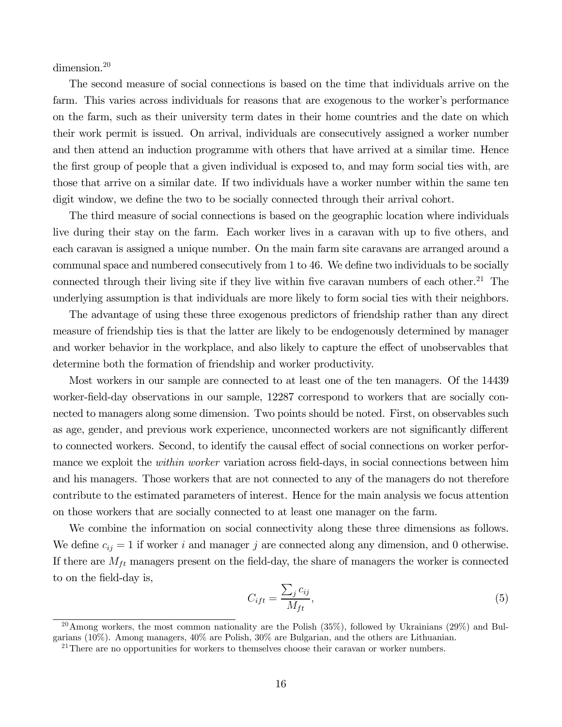dimension.<sup>20</sup>

The second measure of social connections is based on the time that individuals arrive on the farm. This varies across individuals for reasons that are exogenous to the worker's performance on the farm, such as their university term dates in their home countries and the date on which their work permit is issued. On arrival, individuals are consecutively assigned a worker number and then attend an induction programme with others that have arrived at a similar time. Hence the first group of people that a given individual is exposed to, and may form social ties with, are those that arrive on a similar date. If two individuals have a worker number within the same ten digit window, we define the two to be socially connected through their arrival cohort.

The third measure of social connections is based on the geographic location where individuals live during their stay on the farm. Each worker lives in a caravan with up to five others, and each caravan is assigned a unique number. On the main farm site caravans are arranged around a communal space and numbered consecutively from 1 to 46. We define two individuals to be socially connected through their living site if they live within five caravan numbers of each other.<sup>21</sup> The underlying assumption is that individuals are more likely to form social ties with their neighbors.

The advantage of using these three exogenous predictors of friendship rather than any direct measure of friendship ties is that the latter are likely to be endogenously determined by manager and worker behavior in the workplace, and also likely to capture the effect of unobservables that determine both the formation of friendship and worker productivity.

Most workers in our sample are connected to at least one of the ten managers. Of the 14439 worker-field-day observations in our sample, 12287 correspond to workers that are socially connected to managers along some dimension. Two points should be noted. First, on observables such as age, gender, and previous work experience, unconnected workers are not significantly different to connected workers. Second, to identify the causal effect of social connections on worker performance we exploit the *within worker* variation across field-days, in social connections between him and his managers. Those workers that are not connected to any of the managers do not therefore contribute to the estimated parameters of interest. Hence for the main analysis we focus attention on those workers that are socially connected to at least one manager on the farm.

We combine the information on social connectivity along these three dimensions as follows. We define  $c_{ij} = 1$  if worker i and manager j are connected along any dimension, and 0 otherwise. If there are  $M_{ft}$  managers present on the field-day, the share of managers the worker is connected to on the field-day is,

$$
C_{ift} = \frac{\sum_{j} c_{ij}}{M_{ft}},\tag{5}
$$

<sup>&</sup>lt;sup>20</sup>Among workers, the most common nationality are the Polish  $(35\%)$ , followed by Ukrainians  $(29\%)$  and Bulgarians (10%). Among managers, 40% are Polish, 30% are Bulgarian, and the others are Lithuanian.

 $21$ There are no opportunities for workers to themselves choose their caravan or worker numbers.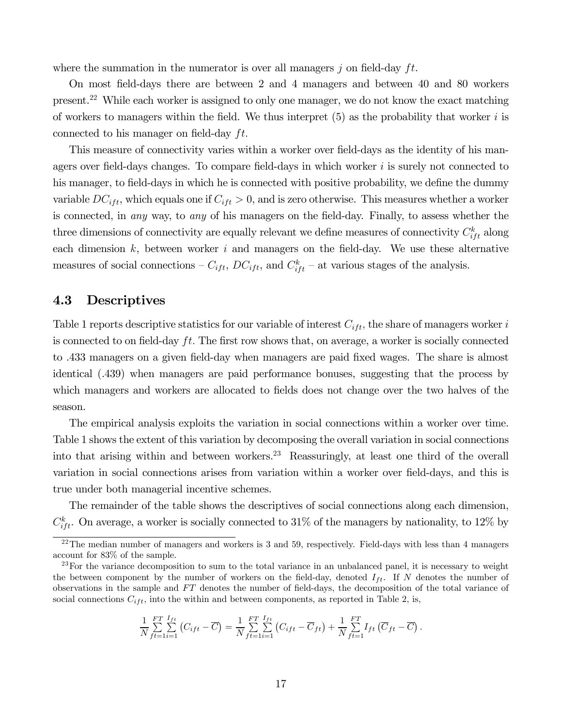where the summation in the numerator is over all managers  $j$  on field-day  $ft$ .

On most field-days there are between 2 and 4 managers and between 40 and 80 workers present.22 While each worker is assigned to only one manager, we do not know the exact matching of workers to managers within the field. We thus interpret  $(5)$  as the probability that worker i is connected to his manager on field-day  $ft$ .

This measure of connectivity varies within a worker over field-days as the identity of his managers over field-days changes. To compare field-days in which worker  $i$  is surely not connected to his manager, to field-days in which he is connected with positive probability, we define the dummy variable  $DC_{ift}$ , which equals one if  $C_{ift} > 0$ , and is zero otherwise. This measures whether a worker is connected, in any way, to any of his managers on the field-day. Finally, to assess whether the three dimensions of connectivity are equally relevant we define measures of connectivity  $C_{if}^{k}$  along each dimension  $k$ , between worker  $i$  and managers on the field-day. We use these alternative measures of social connections  $-C_{ift}$ ,  $DC_{ift}$ , and  $C_{ift}^k$  – at various stages of the analysis.

## 4.3 Descriptives

Table 1 reports descriptive statistics for our variable of interest  $C_{ift}$ , the share of managers worker i is connected to on field-day  $ft$ . The first row shows that, on average, a worker is socially connected to .433 managers on a given field-day when managers are paid fixed wages. The share is almost identical (.439) when managers are paid performance bonuses, suggesting that the process by which managers and workers are allocated to fields does not change over the two halves of the season.

The empirical analysis exploits the variation in social connections within a worker over time. Table 1 shows the extent of this variation by decomposing the overall variation in social connections into that arising within and between workers.23 Reassuringly, at least one third of the overall variation in social connections arises from variation within a worker over field-days, and this is true under both managerial incentive schemes.

The remainder of the table shows the descriptives of social connections along each dimension,  $C_{ift}^{k}$ . On average, a worker is socially connected to 31% of the managers by nationality, to 12% by

$$
\frac{1}{N} \sum_{ft=1}^{FT} \sum_{i=1}^{I_{ft}} (C_{ift} - \overline{C}) = \frac{1}{N} \sum_{ft=1}^{FT} \sum_{i=1}^{I_{ft}} (C_{ift} - \overline{C}_{ft}) + \frac{1}{N} \sum_{ft=1}^{FT} I_{ft} (\overline{C}_{ft} - \overline{C}).
$$

 $^{22}$ The median number of managers and workers is 3 and 59, respectively. Field-days with less than 4 managers account for 83% of the sample.

 $23$  For the variance decomposition to sum to the total variance in an unbalanced panel, it is necessary to weight the between component by the number of workers on the field-day, denoted  $I_{ft}$ . If N denotes the number of observations in the sample and  $FT$  denotes the number of field-days, the decomposition of the total variance of social connections  $C_{ift}$ , into the within and between components, as reported in Table 2, is,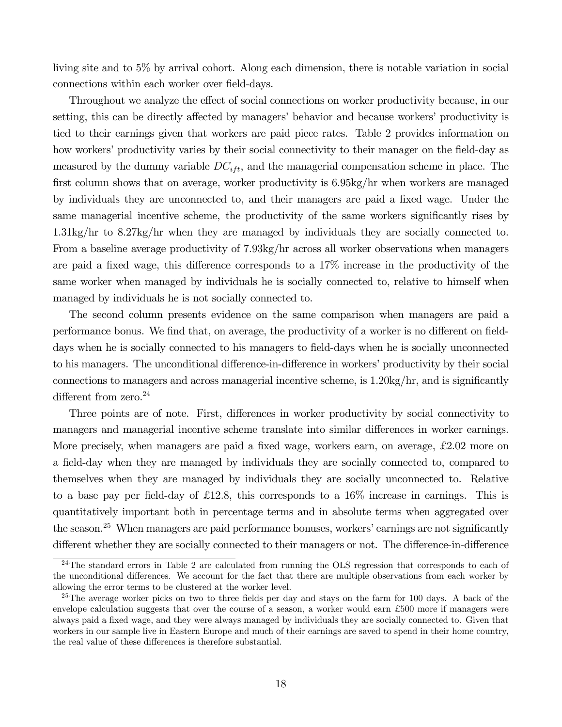living site and to 5% by arrival cohort. Along each dimension, there is notable variation in social connections within each worker over field-days.

Throughout we analyze the effect of social connections on worker productivity because, in our setting, this can be directly affected by managers' behavior and because workers' productivity is tied to their earnings given that workers are paid piece rates. Table 2 provides information on how workers' productivity varies by their social connectivity to their manager on the field-day as measured by the dummy variable  $DC_{ift}$ , and the managerial compensation scheme in place. The first column shows that on average, worker productivity is 6.95kg/hr when workers are managed by individuals they are unconnected to, and their managers are paid a fixed wage. Under the same managerial incentive scheme, the productivity of the same workers significantly rises by 1.31kg/hr to 8.27kg/hr when they are managed by individuals they are socially connected to. From a baseline average productivity of 7.93kg/hr across all worker observations when managers are paid a fixed wage, this difference corresponds to a 17% increase in the productivity of the same worker when managed by individuals he is socially connected to, relative to himself when managed by individuals he is not socially connected to.

The second column presents evidence on the same comparison when managers are paid a performance bonus. We find that, on average, the productivity of a worker is no different on fielddays when he is socially connected to his managers to field-days when he is socially unconnected to his managers. The unconditional difference-in-difference in workers' productivity by their social connections to managers and across managerial incentive scheme, is 1.20kg/hr, and is significantly different from zero.<sup>24</sup>

Three points are of note. First, differences in worker productivity by social connectivity to managers and managerial incentive scheme translate into similar differences in worker earnings. More precisely, when managers are paid a fixed wage, workers earn, on average, £2.02 more on a field-day when they are managed by individuals they are socially connected to, compared to themselves when they are managed by individuals they are socially unconnected to. Relative to a base pay per field-day of £12.8, this corresponds to a  $16\%$  increase in earnings. This is quantitatively important both in percentage terms and in absolute terms when aggregated over the season.25 When managers are paid performance bonuses, workers' earnings are not significantly different whether they are socially connected to their managers or not. The difference-in-difference

<sup>&</sup>lt;sup>24</sup>The standard errors in Table 2 are calculated from running the OLS regression that corresponds to each of the unconditional differences. We account for the fact that there are multiple observations from each worker by allowing the error terms to be clustered at the worker level.

<sup>&</sup>lt;sup>25</sup>The average worker picks on two to three fields per day and stays on the farm for 100 days. A back of the envelope calculation suggests that over the course of a season, a worker would earn £500 more if managers were always paid a fixed wage, and they were always managed by individuals they are socially connected to. Given that workers in our sample live in Eastern Europe and much of their earnings are saved to spend in their home country, the real value of these differences is therefore substantial.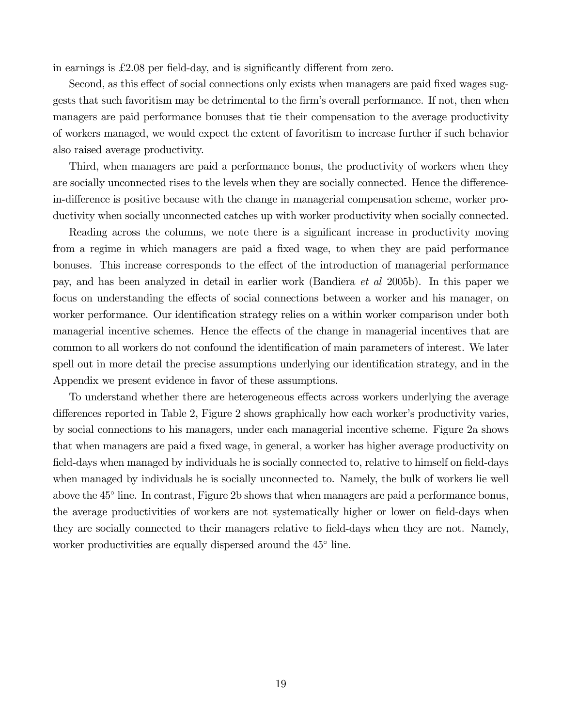in earnings is £2.08 per field-day, and is significantly different from zero.

Second, as this effect of social connections only exists when managers are paid fixed wages suggests that such favoritism may be detrimental to the firm's overall performance. If not, then when managers are paid performance bonuses that tie their compensation to the average productivity of workers managed, we would expect the extent of favoritism to increase further if such behavior also raised average productivity.

Third, when managers are paid a performance bonus, the productivity of workers when they are socially unconnected rises to the levels when they are socially connected. Hence the differencein-difference is positive because with the change in managerial compensation scheme, worker productivity when socially unconnected catches up with worker productivity when socially connected.

Reading across the columns, we note there is a significant increase in productivity moving from a regime in which managers are paid a fixed wage, to when they are paid performance bonuses. This increase corresponds to the effect of the introduction of managerial performance pay, and has been analyzed in detail in earlier work (Bandiera et al 2005b). In this paper we focus on understanding the effects of social connections between a worker and his manager, on worker performance. Our identification strategy relies on a within worker comparison under both managerial incentive schemes. Hence the effects of the change in managerial incentives that are common to all workers do not confound the identification of main parameters of interest. We later spell out in more detail the precise assumptions underlying our identification strategy, and in the Appendix we present evidence in favor of these assumptions.

To understand whether there are heterogeneous effects across workers underlying the average differences reported in Table 2, Figure 2 shows graphically how each worker's productivity varies, by social connections to his managers, under each managerial incentive scheme. Figure 2a shows that when managers are paid a fixed wage, in general, a worker has higher average productivity on field-days when managed by individuals he is socially connected to, relative to himself on field-days when managed by individuals he is socially unconnected to. Namely, the bulk of workers lie well above the 45◦ line. In contrast, Figure 2b shows that when managers are paid a performance bonus, the average productivities of workers are not systematically higher or lower on field-days when they are socially connected to their managers relative to field-days when they are not. Namely, worker productivities are equally dispersed around the 45◦ line.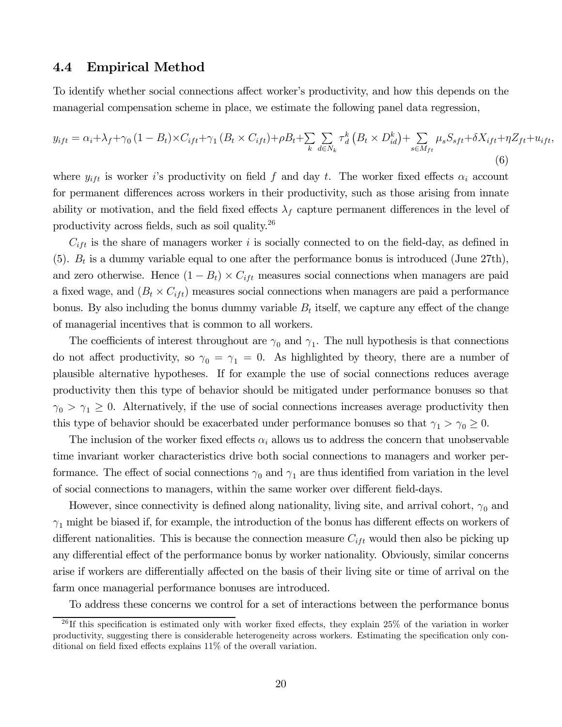### 4.4 Empirical Method

To identify whether social connections affect worker's productivity, and how this depends on the managerial compensation scheme in place, we estimate the following panel data regression,

$$
y_{ift} = \alpha_i + \lambda_f + \gamma_0 (1 - B_t) \times C_{ift} + \gamma_1 (B_t \times C_{ift}) + \rho B_t + \sum_k \sum_{d \in N_k} \tau_d^k (B_t \times D_{id}^k) + \sum_{s \in M_{ft}} \mu_s S_{sft} + \delta X_{ift} + \eta Z_{ft} + u_{ift},
$$
\n
$$
(6)
$$

where  $y_{ift}$  is worker i's productivity on field f and day t. The worker fixed effects  $\alpha_i$  account for permanent differences across workers in their productivity, such as those arising from innate ability or motivation, and the field fixed effects  $\lambda_f$  capture permanent differences in the level of productivity across fields, such as soil quality.26

 $C_{\text{if}}$  is the share of managers worker i is socially connected to on the field-day, as defined in (5).  $B_t$  is a dummy variable equal to one after the performance bonus is introduced (June 27th), and zero otherwise. Hence  $(1 - B_t) \times C_{ift}$  measures social connections when managers are paid a fixed wage, and  $(B_t \times C_{ift})$  measures social connections when managers are paid a performance bonus. By also including the bonus dummy variable  $B_t$  itself, we capture any effect of the change of managerial incentives that is common to all workers.

The coefficients of interest throughout are  $\gamma_0$  and  $\gamma_1$ . The null hypothesis is that connections do not affect productivity, so  $\gamma_0 = \gamma_1 = 0$ . As highlighted by theory, there are a number of plausible alternative hypotheses. If for example the use of social connections reduces average productivity then this type of behavior should be mitigated under performance bonuses so that  $\gamma_0 > \gamma_1 \geq 0$ . Alternatively, if the use of social connections increases average productivity then this type of behavior should be exacerbated under performance bonuses so that  $\gamma_1 > \gamma_0 \geq 0$ .

The inclusion of the worker fixed effects  $\alpha_i$  allows us to address the concern that unobservable time invariant worker characteristics drive both social connections to managers and worker performance. The effect of social connections  $\gamma_0$  and  $\gamma_1$  are thus identified from variation in the level of social connections to managers, within the same worker over different field-days.

However, since connectivity is defined along nationality, living site, and arrival cohort,  $\gamma_0$  and  $\gamma_1$  might be biased if, for example, the introduction of the bonus has different effects on workers of different nationalities. This is because the connection measure  $C_{ift}$  would then also be picking up any differential effect of the performance bonus by worker nationality. Obviously, similar concerns arise if workers are differentially affected on the basis of their living site or time of arrival on the farm once managerial performance bonuses are introduced.

To address these concerns we control for a set of interactions between the performance bonus

 $^{26}$ If this specification is estimated only with worker fixed effects, they explain 25% of the variation in worker productivity, suggesting there is considerable heterogeneity across workers. Estimating the specification only conditional on field fixed effects explains 11% of the overall variation.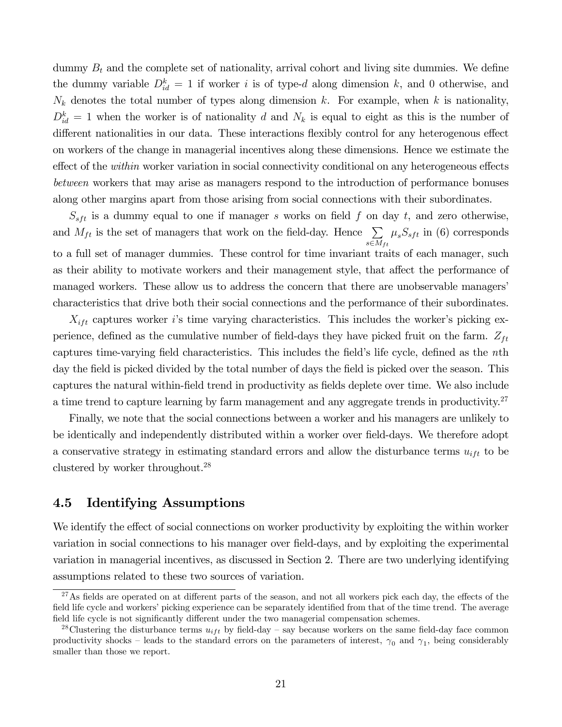dummy  $B_t$  and the complete set of nationality, arrival cohort and living site dummies. We define the dummy variable  $D_{id}^k = 1$  if worker i is of type-d along dimension k, and 0 otherwise, and  $N_k$  denotes the total number of types along dimension k. For example, when k is nationality,  $D_{id}^k = 1$  when the worker is of nationality d and  $N_k$  is equal to eight as this is the number of different nationalities in our data. These interactions flexibly control for any heterogenous effect on workers of the change in managerial incentives along these dimensions. Hence we estimate the effect of the *within* worker variation in social connectivity conditional on any heterogeneous effects between workers that may arise as managers respond to the introduction of performance bonuses along other margins apart from those arising from social connections with their subordinates.

 $S_{sft}$  is a dummy equal to one if manager s works on field f on day t, and zero otherwise, and  $M_{ft}$  is the set of managers that work on the field-day. Hence  $\sum$  $s \in M_{ft}$  $\mu_s S_{sft}$  in (6) corresponds to a full set of manager dummies. These control for time invariant traits of each manager, such as their ability to motivate workers and their management style, that affect the performance of managed workers. These allow us to address the concern that there are unobservable managers' characteristics that drive both their social connections and the performance of their subordinates.

 $X_{if}$  captures worker i's time varying characteristics. This includes the worker's picking experience, defined as the cumulative number of field-days they have picked fruit on the farm.  $Z_{ft}$ captures time-varying field characteristics. This includes the field's life cycle, defined as the  $n$ <sup>th</sup> day the field is picked divided by the total number of days the field is picked over the season. This captures the natural within-field trend in productivity as fields deplete over time. We also include a time trend to capture learning by farm management and any aggregate trends in productivity.<sup>27</sup>

Finally, we note that the social connections between a worker and his managers are unlikely to be identically and independently distributed within a worker over field-days. We therefore adopt a conservative strategy in estimating standard errors and allow the disturbance terms  $u_{ift}$  to be clustered by worker throughout.28

## 4.5 Identifying Assumptions

We identify the effect of social connections on worker productivity by exploiting the within worker variation in social connections to his manager over field-days, and by exploiting the experimental variation in managerial incentives, as discussed in Section 2. There are two underlying identifying assumptions related to these two sources of variation.

 $^{27}$ As fields are operated on at different parts of the season, and not all workers pick each day, the effects of the field life cycle and workers' picking experience can be separately identified from that of the time trend. The average field life cycle is not significantly different under the two managerial compensation schemes.

<sup>&</sup>lt;sup>28</sup>Clustering the disturbance terms  $u_{ift}$  by field-day – say because workers on the same field-day face common productivity shocks – leads to the standard errors on the parameters of interest,  $\gamma_0$  and  $\gamma_1$ , being considerably smaller than those we report.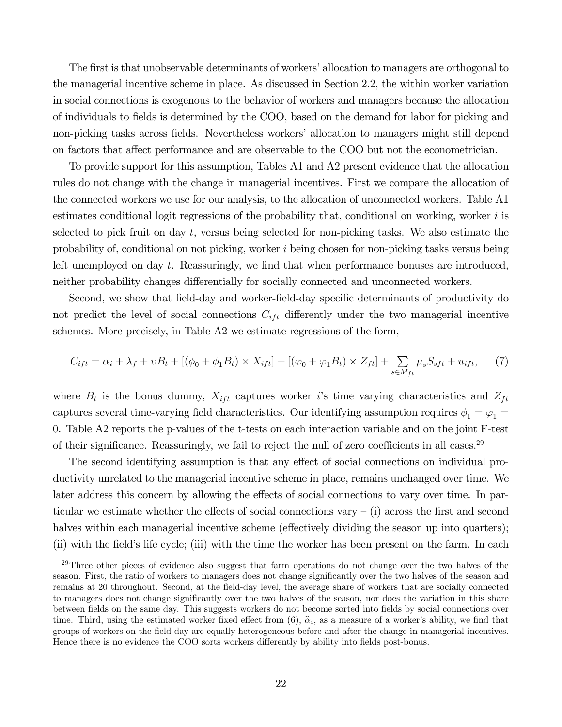The first is that unobservable determinants of workers' allocation to managers are orthogonal to the managerial incentive scheme in place. As discussed in Section 2.2, the within worker variation in social connections is exogenous to the behavior of workers and managers because the allocation of individuals to fields is determined by the COO, based on the demand for labor for picking and non-picking tasks across fields. Nevertheless workers' allocation to managers might still depend on factors that affect performance and are observable to the COO but not the econometrician.

To provide support for this assumption, Tables A1 and A2 present evidence that the allocation rules do not change with the change in managerial incentives. First we compare the allocation of the connected workers we use for our analysis, to the allocation of unconnected workers. Table A1 estimates conditional logit regressions of the probability that, conditional on working, worker  $i$  is selected to pick fruit on day  $t$ , versus being selected for non-picking tasks. We also estimate the probability of, conditional on not picking, worker i being chosen for non-picking tasks versus being left unemployed on day t. Reassuringly, we find that when performance bonuses are introduced, neither probability changes differentially for socially connected and unconnected workers.

Second, we show that field-day and worker-field-day specific determinants of productivity do not predict the level of social connections  $C_{ift}$  differently under the two managerial incentive schemes. More precisely, in Table A2 we estimate regressions of the form,

$$
C_{ift} = \alpha_i + \lambda_f + vB_t + [(\phi_0 + \phi_1 B_t) \times X_{ift}] + [(\varphi_0 + \varphi_1 B_t) \times Z_{ft}] + \sum_{s \in M_{ft}} \mu_s S_{sft} + u_{ift}, \qquad (7)
$$

where  $B_t$  is the bonus dummy,  $X_{ift}$  captures worker is time varying characteristics and  $Z_{ft}$ captures several time-varying field characteristics. Our identifying assumption requires  $\phi_1 = \varphi_1 =$ 0. Table A2 reports the p-values of the t-tests on each interaction variable and on the joint F-test of their significance. Reassuringly, we fail to reject the null of zero coefficients in all cases.<sup>29</sup>

The second identifying assumption is that any effect of social connections on individual productivity unrelated to the managerial incentive scheme in place, remains unchanged over time. We later address this concern by allowing the effects of social connections to vary over time. In particular we estimate whether the effects of social connections vary  $-$  (i) across the first and second halves within each managerial incentive scheme (effectively dividing the season up into quarters); (ii) with the field's life cycle; (iii) with the time the worker has been present on the farm. In each

<sup>&</sup>lt;sup>29</sup>Three other pieces of evidence also suggest that farm operations do not change over the two halves of the season. First, the ratio of workers to managers does not change significantly over the two halves of the season and remains at 20 throughout. Second, at the field-day level, the average share of workers that are socially connected to managers does not change significantly over the two halves of the season, nor does the variation in this share between fields on the same day. This suggests workers do not become sorted into fields by social connections over time. Third, using the estimated worker fixed effect from  $(6)$ ,  $\hat{\alpha}_i$ , as a measure of a worker's ability, we find that groups of workers on the field-day are equally heterogeneous before and after the change in managerial incentives. Hence there is no evidence the COO sorts workers differently by ability into fields post-bonus.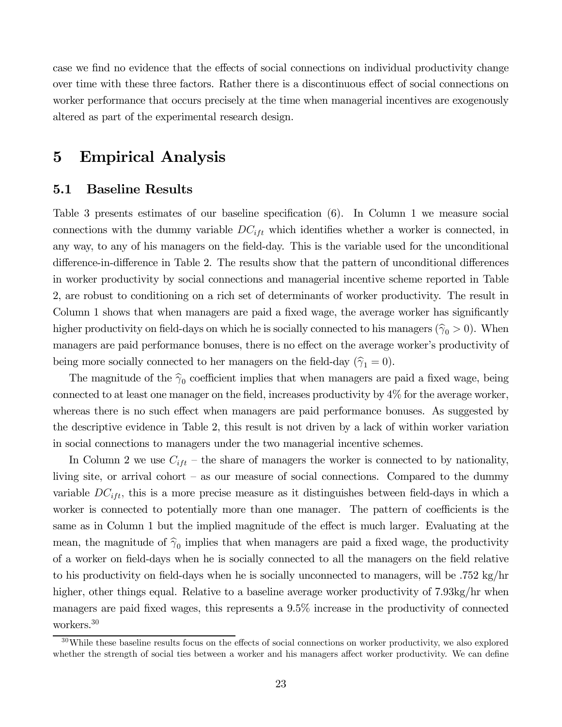case we find no evidence that the effects of social connections on individual productivity change over time with these three factors. Rather there is a discontinuous effect of social connections on worker performance that occurs precisely at the time when managerial incentives are exogenously altered as part of the experimental research design.

## 5 Empirical Analysis

## 5.1 Baseline Results

Table 3 presents estimates of our baseline specification (6). In Column 1 we measure social connections with the dummy variable  $DC_{ift}$  which identifies whether a worker is connected, in any way, to any of his managers on the field-day. This is the variable used for the unconditional difference-in-difference in Table 2. The results show that the pattern of unconditional differences in worker productivity by social connections and managerial incentive scheme reported in Table 2, are robust to conditioning on a rich set of determinants of worker productivity. The result in Column 1 shows that when managers are paid a fixed wage, the average worker has significantly higher productivity on field-days on which he is socially connected to his managers ( $\hat{\gamma}_0 > 0$ ). When managers are paid performance bonuses, there is no effect on the average worker's productivity of being more socially connected to her managers on the field-day  $(\hat{\gamma}_1 = 0)$ .

The magnitude of the  $\hat{\gamma}_0$  coefficient implies that when managers are paid a fixed wage, being connected to at least one manager on the field, increases productivity by 4% for the average worker, whereas there is no such effect when managers are paid performance bonuses. As suggested by the descriptive evidence in Table 2, this result is not driven by a lack of within worker variation in social connections to managers under the two managerial incentive schemes.

In Column 2 we use  $C_{ift}$  – the share of managers the worker is connected to by nationality, living site, or arrival cohort — as our measure of social connections. Compared to the dummy variable  $DC_{it}$ , this is a more precise measure as it distinguishes between field-days in which a worker is connected to potentially more than one manager. The pattern of coefficients is the same as in Column 1 but the implied magnitude of the effect is much larger. Evaluating at the mean, the magnitude of  $\hat{\gamma}_0$  implies that when managers are paid a fixed wage, the productivity of a worker on field-days when he is socially connected to all the managers on the field relative to his productivity on field-days when he is socially unconnected to managers, will be .752 kg/hr higher, other things equal. Relative to a baseline average worker productivity of 7.93kg/hr when managers are paid fixed wages, this represents a 9.5% increase in the productivity of connected workers.30

 $30$ While these baseline results focus on the effects of social connections on worker productivity, we also explored whether the strength of social ties between a worker and his managers affect worker productivity. We can define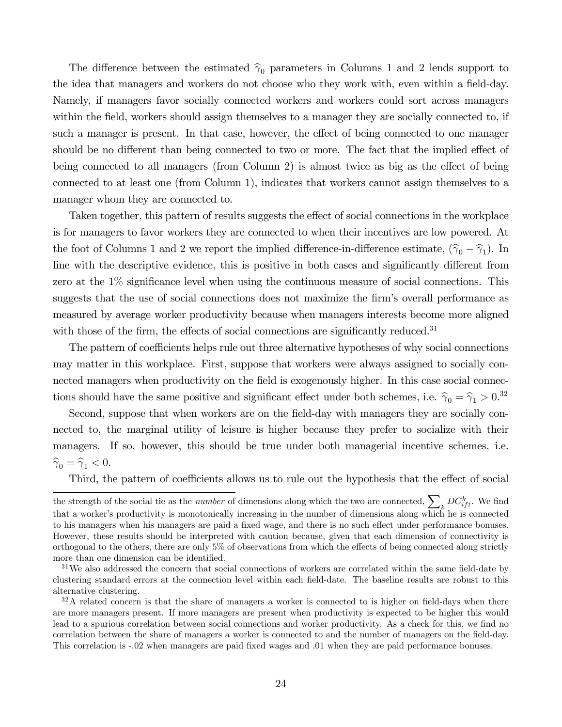The difference between the estimated  $\hat{\gamma}_0$  parameters in Columns 1 and 2 lends support to the idea that managers and workers do not choose who they work with, even within a field-day. Namely, if managers favor socially connected workers and workers could sort across managers within the field, workers should assign themselves to a manager they are socially connected to, if such a manager is present. In that case, however, the effect of being connected to one manager should be no different than being connected to two or more. The fact that the implied effect of being connected to all managers (from Column 2) is almost twice as big as the effect of being connected to at least one (from Column 1), indicates that workers cannot assign themselves to a manager whom they are connected to.

Taken together, this pattern of results suggests the effect of social connections in the workplace is for managers to favor workers they are connected to when their incentives are low powered. At the foot of Columns 1 and 2 we report the implied difference-in-difference estimate,  $(\hat{\gamma}_0 - \hat{\gamma}_1)$ . In line with the descriptive evidence, this is positive in both cases and significantly different from zero at the 1% significance level when using the continuous measure of social connections. This suggests that the use of social connections does not maximize the firm's overall performance as measured by average worker productivity because when managers interests become more aligned with those of the firm, the effects of social connections are significantly reduced.<sup>31</sup>

The pattern of coefficients helps rule out three alternative hypotheses of why social connections may matter in this workplace. First, suppose that workers were always assigned to socially connected managers when productivity on the field is exogenously higher. In this case social connections should have the same positive and significant effect under both schemes, i.e.  $\hat{\gamma}_0 = \hat{\gamma}_1 > 0.32$ 

Second, suppose that when workers are on the field-day with managers they are socially connected to, the marginal utility of leisure is higher because they prefer to socialize with their managers. If so, however, this should be true under both managerial incentive schemes, i.e.  $\widehat{\gamma}_0 = \widehat{\gamma}_1 < 0.$ 

Third, the pattern of coefficients allows us to rule out the hypothesis that the effect of social

the strength of the social tie as the *number* of dimensions along which the two are connected,  $\sum_{k} DC_{ift}^{k}$ . We find that a worker's productivity is monotonically increasing in the number of dimensions along which he is connected to his managers when his managers are paid a fixed wage, and there is no such effect under performance bonuses. However, these results should be interpreted with caution because, given that each dimension of connectivity is orthogonal to the others, there are only 5% of observations from which the effects of being connected along strictly more than one dimension can be identified.

 $31\,\text{We also addressed the concern that social connections of workers are correlated within the same field-date by }$ clustering standard errors at the connection level within each field-date. The baseline results are robust to this alternative clustering.

<sup>&</sup>lt;sup>32</sup>A related concern is that the share of managers a worker is connected to is higher on field-days when there are more managers present. If more managers are present when productivity is expected to be higher this would lead to a spurious correlation between social connections and worker productivity. As a check for this, we find no correlation between the share of managers a worker is connected to and the number of managers on the field-day. This correlation is -.02 when managers are paid fixed wages and .01 when they are paid performance bonuses.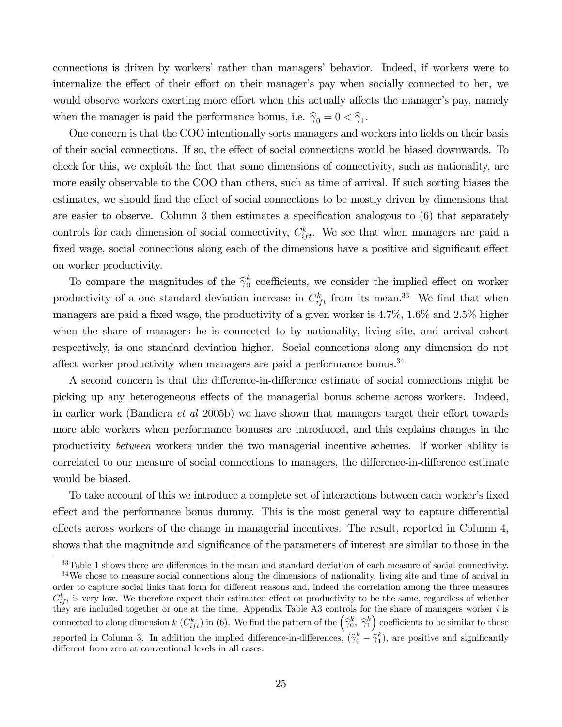connections is driven by workers' rather than managers' behavior. Indeed, if workers were to internalize the effect of their effort on their manager's pay when socially connected to her, we would observe workers exerting more effort when this actually affects the manager's pay, namely when the manager is paid the performance bonus, i.e.  $\hat{\gamma}_0 = 0 < \hat{\gamma}_1$ .

One concern is that the COO intentionally sorts managers and workers into fields on their basis of their social connections. If so, the effect of social connections would be biased downwards. To check for this, we exploit the fact that some dimensions of connectivity, such as nationality, are more easily observable to the COO than others, such as time of arrival. If such sorting biases the estimates, we should find the effect of social connections to be mostly driven by dimensions that are easier to observe. Column 3 then estimates a specification analogous to (6) that separately controls for each dimension of social connectivity,  $C_{ift}^k$ . We see that when managers are paid a fixed wage, social connections along each of the dimensions have a positive and significant effect on worker productivity.

To compare the magnitudes of the  $\hat{\gamma}_0^k$  coefficients, we consider the implied effect on worker productivity of a one standard deviation increase in  $C_{ift}^k$  from its mean.<sup>33</sup> We find that when managers are paid a fixed wage, the productivity of a given worker is 4.7%, 1.6% and 2.5% higher when the share of managers he is connected to by nationality, living site, and arrival cohort respectively, is one standard deviation higher. Social connections along any dimension do not affect worker productivity when managers are paid a performance bonus.<sup>34</sup>

A second concern is that the difference-in-difference estimate of social connections might be picking up any heterogeneous effects of the managerial bonus scheme across workers. Indeed, in earlier work (Bandiera et al 2005b) we have shown that managers target their effort towards more able workers when performance bonuses are introduced, and this explains changes in the productivity between workers under the two managerial incentive schemes. If worker ability is correlated to our measure of social connections to managers, the difference-in-difference estimate would be biased.

To take account of this we introduce a complete set of interactions between each worker's fixed effect and the performance bonus dummy. This is the most general way to capture differential effects across workers of the change in managerial incentives. The result, reported in Column 4, shows that the magnitude and significance of the parameters of interest are similar to those in the

<sup>&</sup>lt;sup>33</sup>Table 1 shows there are differences in the mean and standard deviation of each measure of social connectivity.

<sup>&</sup>lt;sup>34</sup>We chose to measure social connections along the dimensions of nationality, living site and time of arrival in order to capture social links that form for different reasons and, indeed the correlation among the three measures  $C_{ift}^{k}$  is very low. We therefore expect their estimated effect on productivity to be the same, regardless of whether they are included together or one at the time. Appendix Table A3 controls for the share of managers worker  $i$  is connected to along dimension  $k(C_{ift}^k)$  in (6). We find the pattern of the  $(\hat{\gamma}_0^k, \hat{\gamma}_1^k)$  coefficients to be similar to those reported in Column 3. In addition the implied difference-in-differences,  $(\hat{\gamma}_0^k - \hat{\gamma}_1^k)$ , are positive and significantly different from zero at conventional levels in all cases.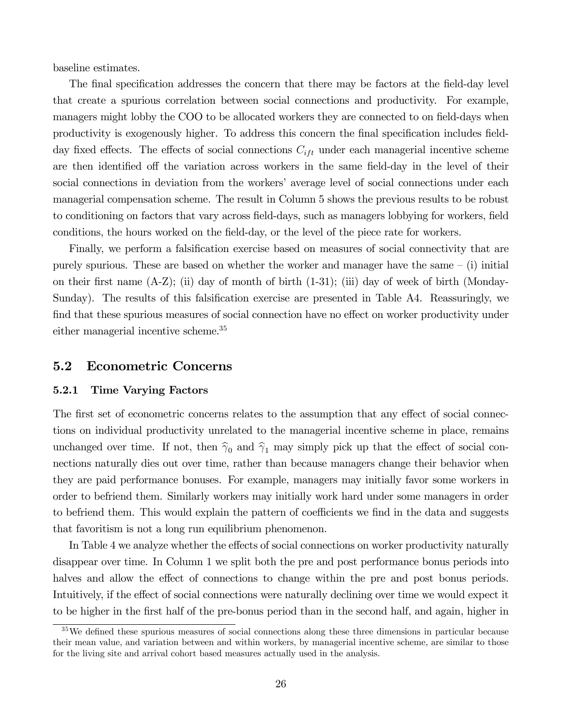baseline estimates.

The final specification addresses the concern that there may be factors at the field-day level that create a spurious correlation between social connections and productivity. For example, managers might lobby the COO to be allocated workers they are connected to on field-days when productivity is exogenously higher. To address this concern the final specification includes fieldday fixed effects. The effects of social connections  $C_{ift}$  under each managerial incentive scheme are then identified off the variation across workers in the same field-day in the level of their social connections in deviation from the workers' average level of social connections under each managerial compensation scheme. The result in Column 5 shows the previous results to be robust to conditioning on factors that vary across field-days, such as managers lobbying for workers, field conditions, the hours worked on the field-day, or the level of the piece rate for workers.

Finally, we perform a falsification exercise based on measures of social connectivity that are purely spurious. These are based on whether the worker and manager have the same  $-$  (i) initial on their first name (A-Z); (ii) day of month of birth (1-31); (iii) day of week of birth (Monday-Sunday). The results of this falsification exercise are presented in Table A4. Reassuringly, we find that these spurious measures of social connection have no effect on worker productivity under either managerial incentive scheme.<sup>35</sup>

### 5.2 Econometric Concerns

#### 5.2.1 Time Varying Factors

The first set of econometric concerns relates to the assumption that any effect of social connections on individual productivity unrelated to the managerial incentive scheme in place, remains unchanged over time. If not, then  $\hat{\gamma}_0$  and  $\hat{\gamma}_1$  may simply pick up that the effect of social connections naturally dies out over time, rather than because managers change their behavior when they are paid performance bonuses. For example, managers may initially favor some workers in order to befriend them. Similarly workers may initially work hard under some managers in order to befriend them. This would explain the pattern of coefficients we find in the data and suggests that favoritism is not a long run equilibrium phenomenon.

In Table 4 we analyze whether the effects of social connections on worker productivity naturally disappear over time. In Column 1 we split both the pre and post performance bonus periods into halves and allow the effect of connections to change within the pre and post bonus periods. Intuitively, if the effect of social connections were naturally declining over time we would expect it to be higher in the first half of the pre-bonus period than in the second half, and again, higher in

<sup>&</sup>lt;sup>35</sup>We defined these spurious measures of social connections along these three dimensions in particular because their mean value, and variation between and within workers, by managerial incentive scheme, are similar to those for the living site and arrival cohort based measures actually used in the analysis.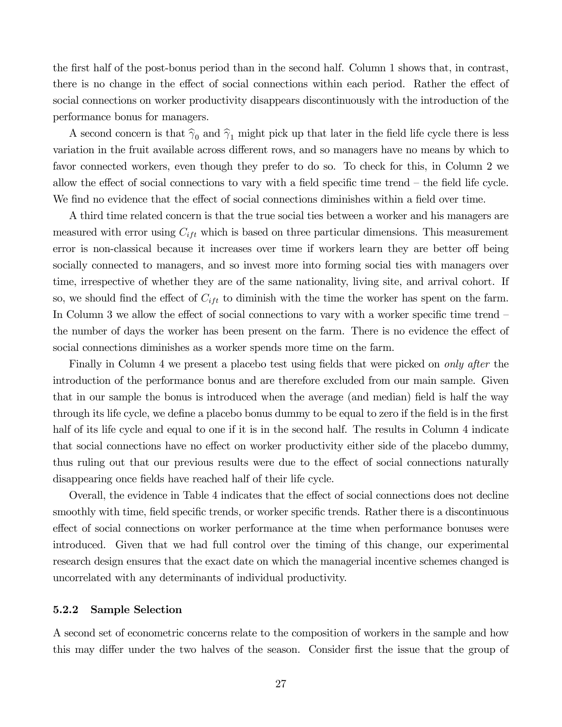the first half of the post-bonus period than in the second half. Column 1 shows that, in contrast, there is no change in the effect of social connections within each period. Rather the effect of social connections on worker productivity disappears discontinuously with the introduction of the performance bonus for managers.

A second concern is that  $\hat{\gamma}_0$  and  $\hat{\gamma}_1$  might pick up that later in the field life cycle there is less variation in the fruit available across different rows, and so managers have no means by which to favor connected workers, even though they prefer to do so. To check for this, in Column 2 we allow the effect of social connections to vary with a field specific time trend — the field life cycle. We find no evidence that the effect of social connections diminishes within a field over time.

A third time related concern is that the true social ties between a worker and his managers are measured with error using  $C_{ift}$  which is based on three particular dimensions. This measurement error is non-classical because it increases over time if workers learn they are better off being socially connected to managers, and so invest more into forming social ties with managers over time, irrespective of whether they are of the same nationality, living site, and arrival cohort. If so, we should find the effect of  $C_{if}$  to diminish with the time the worker has spent on the farm. In Column 3 we allow the effect of social connections to vary with a worker specific time trend – the number of days the worker has been present on the farm. There is no evidence the effect of social connections diminishes as a worker spends more time on the farm.

Finally in Column 4 we present a placebo test using fields that were picked on *only after* the introduction of the performance bonus and are therefore excluded from our main sample. Given that in our sample the bonus is introduced when the average (and median) field is half the way through its life cycle, we define a placebo bonus dummy to be equal to zero if the field is in the first half of its life cycle and equal to one if it is in the second half. The results in Column 4 indicate that social connections have no effect on worker productivity either side of the placebo dummy, thus ruling out that our previous results were due to the effect of social connections naturally disappearing once fields have reached half of their life cycle.

Overall, the evidence in Table 4 indicates that the effect of social connections does not decline smoothly with time, field specific trends, or worker specific trends. Rather there is a discontinuous effect of social connections on worker performance at the time when performance bonuses were introduced. Given that we had full control over the timing of this change, our experimental research design ensures that the exact date on which the managerial incentive schemes changed is uncorrelated with any determinants of individual productivity.

#### 5.2.2 Sample Selection

A second set of econometric concerns relate to the composition of workers in the sample and how this may differ under the two halves of the season. Consider first the issue that the group of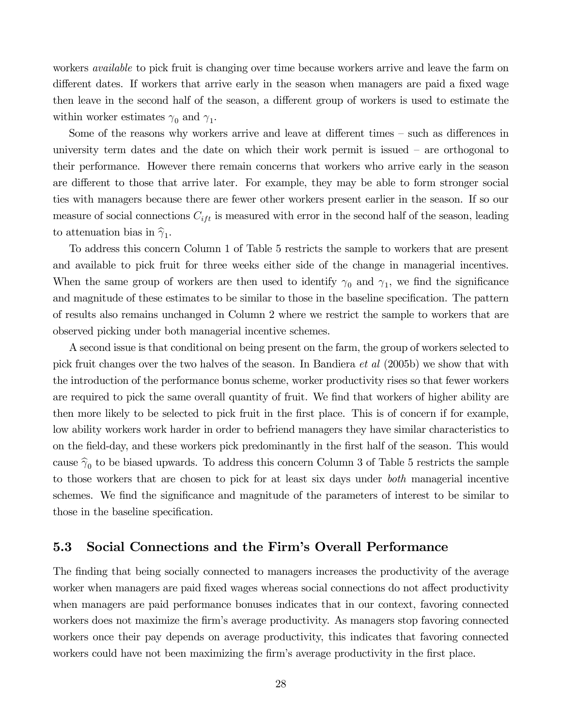workers *available* to pick fruit is changing over time because workers arrive and leave the farm on different dates. If workers that arrive early in the season when managers are paid a fixed wage then leave in the second half of the season, a different group of workers is used to estimate the within worker estimates  $\gamma_0$  and  $\gamma_1$ .

Some of the reasons why workers arrive and leave at different times — such as differences in university term dates and the date on which their work permit is issued – are orthogonal to their performance. However there remain concerns that workers who arrive early in the season are different to those that arrive later. For example, they may be able to form stronger social ties with managers because there are fewer other workers present earlier in the season. If so our measure of social connections  $C_{ift}$  is measured with error in the second half of the season, leading to attenuation bias in  $\hat{\gamma}_1$ .

To address this concern Column 1 of Table 5 restricts the sample to workers that are present and available to pick fruit for three weeks either side of the change in managerial incentives. When the same group of workers are then used to identify  $\gamma_0$  and  $\gamma_1$ , we find the significance and magnitude of these estimates to be similar to those in the baseline specification. The pattern of results also remains unchanged in Column 2 where we restrict the sample to workers that are observed picking under both managerial incentive schemes.

A second issue is that conditional on being present on the farm, the group of workers selected to pick fruit changes over the two halves of the season. In Bandiera et al (2005b) we show that with the introduction of the performance bonus scheme, worker productivity rises so that fewer workers are required to pick the same overall quantity of fruit. We find that workers of higher ability are then more likely to be selected to pick fruit in the first place. This is of concern if for example, low ability workers work harder in order to befriend managers they have similar characteristics to on the field-day, and these workers pick predominantly in the first half of the season. This would cause  $\hat{\gamma}_0$  to be biased upwards. To address this concern Column 3 of Table 5 restricts the sample to those workers that are chosen to pick for at least six days under both managerial incentive schemes. We find the significance and magnitude of the parameters of interest to be similar to those in the baseline specification.

## 5.3 Social Connections and the Firm's Overall Performance

The finding that being socially connected to managers increases the productivity of the average worker when managers are paid fixed wages whereas social connections do not affect productivity when managers are paid performance bonuses indicates that in our context, favoring connected workers does not maximize the firm's average productivity. As managers stop favoring connected workers once their pay depends on average productivity, this indicates that favoring connected workers could have not been maximizing the firm's average productivity in the first place.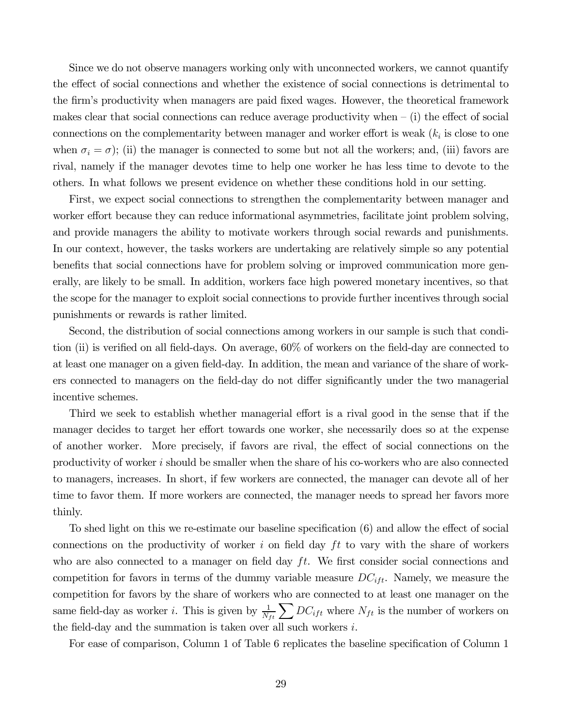Since we do not observe managers working only with unconnected workers, we cannot quantify the effect of social connections and whether the existence of social connections is detrimental to the firm's productivity when managers are paid fixed wages. However, the theoretical framework makes clear that social connections can reduce average productivity when  $-$  (i) the effect of social connections on the complementarity between manager and worker effort is weak  $(k<sub>i</sub>$  is close to one when  $\sigma_i = \sigma$ ); (ii) the manager is connected to some but not all the workers; and, (iii) favors are rival, namely if the manager devotes time to help one worker he has less time to devote to the others. In what follows we present evidence on whether these conditions hold in our setting.

First, we expect social connections to strengthen the complementarity between manager and worker effort because they can reduce informational asymmetries, facilitate joint problem solving, and provide managers the ability to motivate workers through social rewards and punishments. In our context, however, the tasks workers are undertaking are relatively simple so any potential benefits that social connections have for problem solving or improved communication more generally, are likely to be small. In addition, workers face high powered monetary incentives, so that the scope for the manager to exploit social connections to provide further incentives through social punishments or rewards is rather limited.

Second, the distribution of social connections among workers in our sample is such that condition (ii) is verified on all field-days. On average, 60% of workers on the field-day are connected to at least one manager on a given field-day. In addition, the mean and variance of the share of workers connected to managers on the field-day do not differ significantly under the two managerial incentive schemes.

Third we seek to establish whether managerial effort is a rival good in the sense that if the manager decides to target her effort towards one worker, she necessarily does so at the expense of another worker. More precisely, if favors are rival, the effect of social connections on the productivity of worker i should be smaller when the share of his co-workers who are also connected to managers, increases. In short, if few workers are connected, the manager can devote all of her time to favor them. If more workers are connected, the manager needs to spread her favors more thinly.

To shed light on this we re-estimate our baseline specification (6) and allow the effect of social connections on the productivity of worker i on field day  $ft$  to vary with the share of workers who are also connected to a manager on field day  $ft$ . We first consider social connections and competition for favors in terms of the dummy variable measure  $DC_{ift}$ . Namely, we measure the competition for favors by the share of workers who are connected to at least one manager on the same field-day as worker *i*. This is given by  $\frac{1}{N_{ft}}\sum D C_{ift}$  where  $N_{ft}$  is the number of workers on the field-day and the summation is taken over all such workers  $i$ .

For ease of comparison, Column 1 of Table 6 replicates the baseline specification of Column 1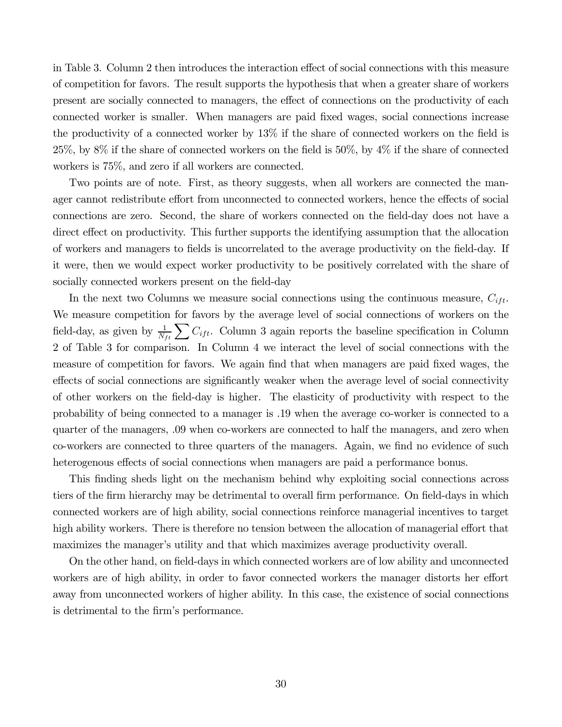in Table 3. Column 2 then introduces the interaction effect of social connections with this measure of competition for favors. The result supports the hypothesis that when a greater share of workers present are socially connected to managers, the effect of connections on the productivity of each connected worker is smaller. When managers are paid fixed wages, social connections increase the productivity of a connected worker by 13% if the share of connected workers on the field is 25%, by 8% if the share of connected workers on the field is 50%, by 4% if the share of connected workers is 75%, and zero if all workers are connected.

Two points are of note. First, as theory suggests, when all workers are connected the manager cannot redistribute effort from unconnected to connected workers, hence the effects of social connections are zero. Second, the share of workers connected on the field-day does not have a direct effect on productivity. This further supports the identifying assumption that the allocation of workers and managers to fields is uncorrelated to the average productivity on the field-day. If it were, then we would expect worker productivity to be positively correlated with the share of socially connected workers present on the field-day

In the next two Columns we measure social connections using the continuous measure,  $C_{\text{if}t}$ . We measure competition for favors by the average level of social connections of workers on the field-day, as given by  $\frac{1}{N_{ft}}\sum C_{ift}$ . Column 3 again reports the baseline specification in Column 2 of Table 3 for comparison. In Column 4 we interact the level of social connections with the measure of competition for favors. We again find that when managers are paid fixed wages, the effects of social connections are significantly weaker when the average level of social connectivity of other workers on the field-day is higher. The elasticity of productivity with respect to the probability of being connected to a manager is .19 when the average co-worker is connected to a quarter of the managers, .09 when co-workers are connected to half the managers, and zero when co-workers are connected to three quarters of the managers. Again, we find no evidence of such heterogenous effects of social connections when managers are paid a performance bonus.

This finding sheds light on the mechanism behind why exploiting social connections across tiers of the firm hierarchy may be detrimental to overall firm performance. On field-days in which connected workers are of high ability, social connections reinforce managerial incentives to target high ability workers. There is therefore no tension between the allocation of managerial effort that maximizes the manager's utility and that which maximizes average productivity overall.

On the other hand, on field-days in which connected workers are of low ability and unconnected workers are of high ability, in order to favor connected workers the manager distorts her effort away from unconnected workers of higher ability. In this case, the existence of social connections is detrimental to the firm's performance.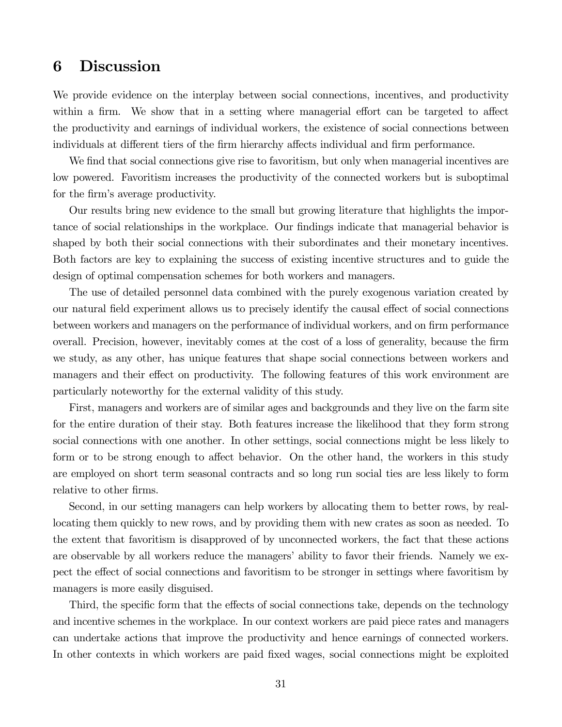## 6 Discussion

We provide evidence on the interplay between social connections, incentives, and productivity within a firm. We show that in a setting where managerial effort can be targeted to affect the productivity and earnings of individual workers, the existence of social connections between individuals at different tiers of the firm hierarchy affects individual and firm performance.

We find that social connections give rise to favoritism, but only when managerial incentives are low powered. Favoritism increases the productivity of the connected workers but is suboptimal for the firm's average productivity.

Our results bring new evidence to the small but growing literature that highlights the importance of social relationships in the workplace. Our findings indicate that managerial behavior is shaped by both their social connections with their subordinates and their monetary incentives. Both factors are key to explaining the success of existing incentive structures and to guide the design of optimal compensation schemes for both workers and managers.

The use of detailed personnel data combined with the purely exogenous variation created by our natural field experiment allows us to precisely identify the causal effect of social connections between workers and managers on the performance of individual workers, and on firm performance overall. Precision, however, inevitably comes at the cost of a loss of generality, because the firm we study, as any other, has unique features that shape social connections between workers and managers and their effect on productivity. The following features of this work environment are particularly noteworthy for the external validity of this study.

First, managers and workers are of similar ages and backgrounds and they live on the farm site for the entire duration of their stay. Both features increase the likelihood that they form strong social connections with one another. In other settings, social connections might be less likely to form or to be strong enough to affect behavior. On the other hand, the workers in this study are employed on short term seasonal contracts and so long run social ties are less likely to form relative to other firms.

Second, in our setting managers can help workers by allocating them to better rows, by reallocating them quickly to new rows, and by providing them with new crates as soon as needed. To the extent that favoritism is disapproved of by unconnected workers, the fact that these actions are observable by all workers reduce the managers' ability to favor their friends. Namely we expect the effect of social connections and favoritism to be stronger in settings where favoritism by managers is more easily disguised.

Third, the specific form that the effects of social connections take, depends on the technology and incentive schemes in the workplace. In our context workers are paid piece rates and managers can undertake actions that improve the productivity and hence earnings of connected workers. In other contexts in which workers are paid fixed wages, social connections might be exploited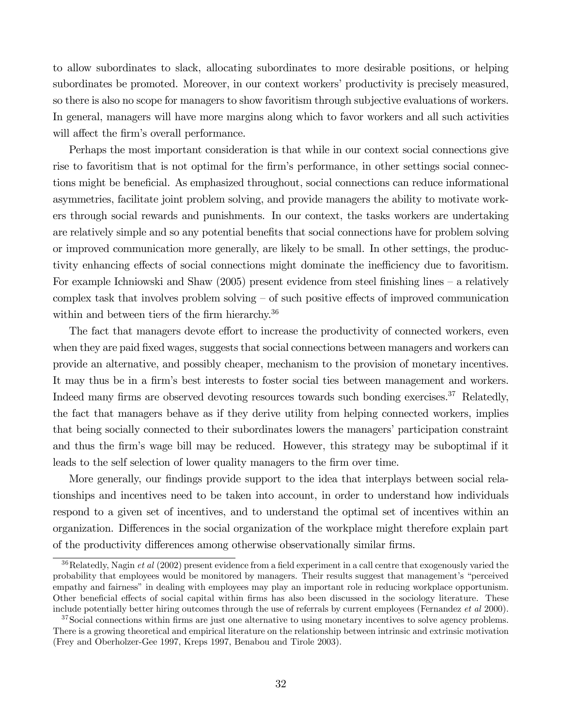to allow subordinates to slack, allocating subordinates to more desirable positions, or helping subordinates be promoted. Moreover, in our context workers' productivity is precisely measured, so there is also no scope for managers to show favoritism through subjective evaluations of workers. In general, managers will have more margins along which to favor workers and all such activities will affect the firm's overall performance.

Perhaps the most important consideration is that while in our context social connections give rise to favoritism that is not optimal for the firm's performance, in other settings social connections might be beneficial. As emphasized throughout, social connections can reduce informational asymmetries, facilitate joint problem solving, and provide managers the ability to motivate workers through social rewards and punishments. In our context, the tasks workers are undertaking are relatively simple and so any potential benefits that social connections have for problem solving or improved communication more generally, are likely to be small. In other settings, the productivity enhancing effects of social connections might dominate the inefficiency due to favoritism. For example Ichniowski and Shaw (2005) present evidence from steel finishing lines — a relatively complex task that involves problem solving — of such positive effects of improved communication within and between tiers of the firm hierarchy.<sup>36</sup>

The fact that managers devote effort to increase the productivity of connected workers, even when they are paid fixed wages, suggests that social connections between managers and workers can provide an alternative, and possibly cheaper, mechanism to the provision of monetary incentives. It may thus be in a firm's best interests to foster social ties between management and workers. Indeed many firms are observed devoting resources towards such bonding exercises.<sup>37</sup> Relatedly, the fact that managers behave as if they derive utility from helping connected workers, implies that being socially connected to their subordinates lowers the managers' participation constraint and thus the firm's wage bill may be reduced. However, this strategy may be suboptimal if it leads to the self selection of lower quality managers to the firm over time.

More generally, our findings provide support to the idea that interplays between social relationships and incentives need to be taken into account, in order to understand how individuals respond to a given set of incentives, and to understand the optimal set of incentives within an organization. Differences in the social organization of the workplace might therefore explain part of the productivity differences among otherwise observationally similar firms.

 $36$ Relatedly. Nagin *et al* (2002) present evidence from a field experiment in a call centre that exogenously varied the probability that employees would be monitored by managers. Their results suggest that management's "perceived empathy and fairness" in dealing with employees may play an important role in reducing workplace opportunism. Other beneficial effects of social capital within firms has also been discussed in the sociology literature. These include potentially better hiring outcomes through the use of referrals by current employees (Fernandez et al 2000).

<sup>&</sup>lt;sup>37</sup>Social connections within firms are just one alternative to using monetary incentives to solve agency problems. There is a growing theoretical and empirical literature on the relationship between intrinsic and extrinsic motivation (Frey and Oberholzer-Gee 1997, Kreps 1997, Benabou and Tirole 2003).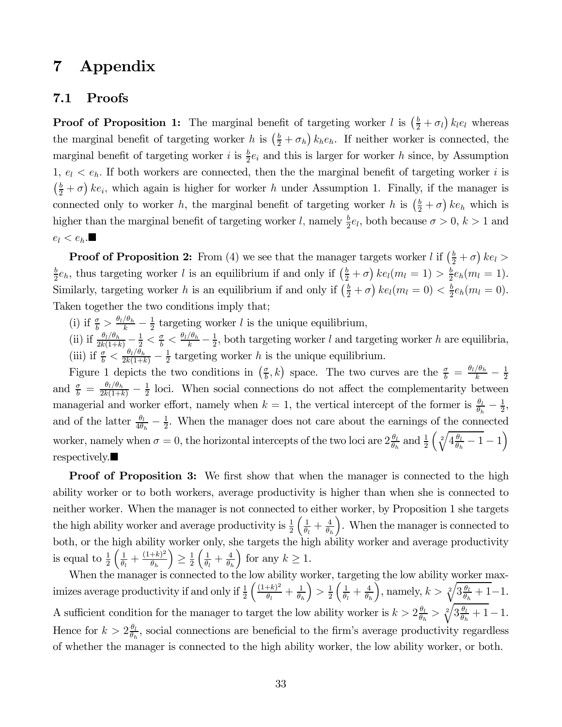## 7 Appendix

## 7.1 Proofs

**Proof of Proposition 1:** The marginal benefit of targeting worker l is  $(\frac{b}{2} + \sigma_l) k_l e_l$  whereas the marginal benefit of targeting worker h is  $(\frac{b}{2} + \sigma_h) k_h e_h$ . If neither worker is connected, the marginal benefit of targeting worker i is  $\frac{b}{2}e_i$  and this is larger for worker h since, by Assumption 1,  $e_l < e_h$ . If both workers are connected, then the the marginal benefit of targeting worker i is  $(\frac{b}{2} + \sigma)$  ke<sub>i</sub>, which again is higher for worker h under Assumption 1. Finally, if the manager is connected only to worker h, the marginal benefit of targeting worker h is  $(\frac{b}{2} + \sigma) ke_h$  which is higher than the marginal benefit of targeting worker l, namely  $\frac{b}{2}e_l$ , both because  $\sigma > 0$ ,  $k > 1$  and  $e_l < e_h$ .

**Proof of Proposition 2:** From (4) we see that the manager targets worker l if  $(\frac{b}{2} + \sigma)$  ke<sub>l</sub> >  $\frac{b}{2}e_h$ , thus targeting worker l is an equilibrium if and only if  $(\frac{b}{2} + \sigma) ke_l(m_l = 1) > \frac{b}{2}e_h(m_l = 1)$ . Similarly, targeting worker h is an equilibrium if and only if  $(\frac{b}{2} + \sigma) ke_l(m_l = 0) < \frac{b}{2}e_h(m_l = 0)$ . Taken together the two conditions imply that;

- (i) if  $\frac{\sigma}{b} > \frac{\theta_l/\theta_h}{k} \frac{1}{2}$  targeting worker l is the unique equilibrium,
- (ii) if  $\frac{\theta_l/\theta_h}{2k(1+k)} \frac{1}{2} < \frac{\sigma}{b} < \frac{\theta_l/\theta_h}{k} \frac{1}{2}$ , both targeting worker l and targeting worker h are equilibria, (iii) if  $\frac{\sigma}{b} < \frac{\theta_l/\theta_h}{2k(1+k)} - \frac{1}{2}$  targeting worker h is the unique equilibrium.

Figure 1 depicts the two conditions in  $(\frac{\sigma}{b}, k)$  space. The two curves are the  $\frac{\sigma}{b} = \frac{\theta_l/\theta_h}{k} - \frac{1}{2}$ and  $\frac{\sigma}{b} = \frac{\theta_l/\theta_h}{2k(1+k)} - \frac{1}{2}$  loci. When social connections do not affect the complementarity between managerial and worker effort, namely when  $k = 1$ , the vertical intercept of the former is  $\frac{\theta_l}{\theta_h} - \frac{1}{2}$ , and of the latter  $\frac{\theta_l}{4\theta_h} - \frac{1}{2}$ . When the manager does not care about the earnings of the connected worker, namely when  $\sigma = 0$ , the horizontal intercepts of the two loci are  $2\frac{\theta_l}{\theta_h}$  and  $\frac{1}{2}$  $\left(\sqrt[2]{4\frac{\theta_l}{\theta_h}-1}-1\right)$  $respectively. \blacksquare$ 

**Proof of Proposition 3:** We first show that when the manager is connected to the high ability worker or to both workers, average productivity is higher than when she is connected to neither worker. When the manager is not connected to either worker, by Proposition 1 she targets the high ability worker and average productivity is  $\frac{1}{2}$  $\left(\frac{1}{\theta_l}+\frac{4}{\theta_h}\right)$ ). When the manager is connected to both, or the high ability worker only, she targets the high ability worker and average productivity is equal to  $\frac{1}{2}$  $\left(\frac{1}{\theta_l}+\frac{(1+k)^2}{\theta_h}\right)$  $\left.\begin{array}{c}\right&\geq\frac{1}{2}\end{array}$  $\left(\frac{1}{\theta_l}+\frac{4}{\theta_h}\right)$ for any  $k \geq 1$ .

When the manager is connected to the low ability worker, targeting the low ability worker maximizes average productivity if and only if  $\frac{1}{2}$  $\left(\frac{(1+k)^2}{\theta_l}+\frac{1}{\theta_h}\right)$  $\Big) > \frac{1}{2}$  $\left(\frac{1}{\theta_l}+\frac{4}{\theta_h}\right)$  $\int$ , namely,  $k > \sqrt[2]{3\frac{\theta_l}{\theta_h} + 1} - 1$ . A sufficient condition for the manager to target the low ability worker is  $k > 2\frac{\theta_l}{\theta_h} > \sqrt[2]{3\frac{\theta_l}{\theta_h} + 1} - 1$ . Hence for  $k > 2 \frac{\theta_l}{\theta_h}$ , social connections are beneficial to the firm's average productivity regardless of whether the manager is connected to the high ability worker, the low ability worker, or both.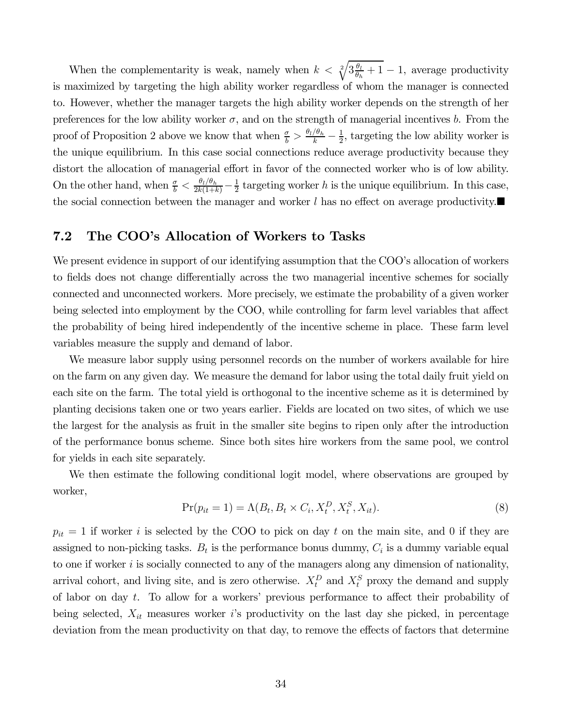When the complementarity is weak, namely when  $k < \sqrt[2]{3\frac{\theta_l}{\theta_h} + 1} - 1$ , average productivity is maximized by targeting the high ability worker regardless of whom the manager is connected to. However, whether the manager targets the high ability worker depends on the strength of her preferences for the low ability worker  $\sigma$ , and on the strength of managerial incentives b. From the proof of Proposition 2 above we know that when  $\frac{\sigma}{b} > \frac{\theta_l/\theta_h}{k} - \frac{1}{2}$ , targeting the low ability worker is the unique equilibrium. In this case social connections reduce average productivity because they distort the allocation of managerial effort in favor of the connected worker who is of low ability. On the other hand, when  $\frac{\sigma}{b} < \frac{\theta_l/\theta_h}{2k(1+k)} - \frac{1}{2}$  targeting worker h is the unique equilibrium. In this case, the social connection between the manager and worker l has no effect on average productivity. $\blacksquare$ 

### 7.2 The COO's Allocation of Workers to Tasks

We present evidence in support of our identifying assumption that the COO's allocation of workers to fields does not change differentially across the two managerial incentive schemes for socially connected and unconnected workers. More precisely, we estimate the probability of a given worker being selected into employment by the COO, while controlling for farm level variables that affect the probability of being hired independently of the incentive scheme in place. These farm level variables measure the supply and demand of labor.

We measure labor supply using personnel records on the number of workers available for hire on the farm on any given day. We measure the demand for labor using the total daily fruit yield on each site on the farm. The total yield is orthogonal to the incentive scheme as it is determined by planting decisions taken one or two years earlier. Fields are located on two sites, of which we use the largest for the analysis as fruit in the smaller site begins to ripen only after the introduction of the performance bonus scheme. Since both sites hire workers from the same pool, we control for yields in each site separately.

We then estimate the following conditional logit model, where observations are grouped by worker,

$$
Pr(p_{it} = 1) = \Lambda(B_t, B_t \times C_i, X_t^D, X_t^S, X_{it}).
$$
\n
$$
(8)
$$

 $p_{it} = 1$  if worker i is selected by the COO to pick on day t on the main site, and 0 if they are assigned to non-picking tasks.  $B_t$  is the performance bonus dummy,  $C_i$  is a dummy variable equal to one if worker i is socially connected to any of the managers along any dimension of nationality, arrival cohort, and living site, and is zero otherwise.  $X_t^D$  and  $X_t^S$  proxy the demand and supply of labor on day  $t$ . To allow for a workers' previous performance to affect their probability of being selected,  $X_{it}$  measures worker i's productivity on the last day she picked, in percentage deviation from the mean productivity on that day, to remove the effects of factors that determine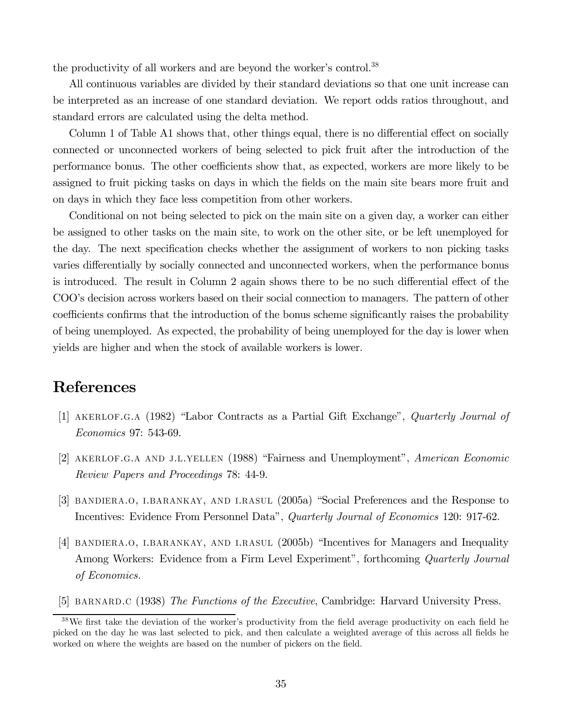the productivity of all workers and are beyond the worker's control.<sup>38</sup>

All continuous variables are divided by their standard deviations so that one unit increase can be interpreted as an increase of one standard deviation. We report odds ratios throughout, and standard errors are calculated using the delta method.

Column 1 of Table A1 shows that, other things equal, there is no differential effect on socially connected or unconnected workers of being selected to pick fruit after the introduction of the performance bonus. The other coefficients show that, as expected, workers are more likely to be assigned to fruit picking tasks on days in which the fields on the main site bears more fruit and on days in which they face less competition from other workers.

Conditional on not being selected to pick on the main site on a given day, a worker can either be assigned to other tasks on the main site, to work on the other site, or be left unemployed for the day. The next specification checks whether the assignment of workers to non picking tasks varies differentially by socially connected and unconnected workers, when the performance bonus is introduced. The result in Column 2 again shows there to be no such differential effect of the COO's decision across workers based on their social connection to managers. The pattern of other coefficients confirms that the introduction of the bonus scheme significantly raises the probability of being unemployed. As expected, the probability of being unemployed for the day is lower when yields are higher and when the stock of available workers is lower.

## References

- [1] akerlof.g.a (1982) "Labor Contracts as a Partial Gift Exchange", Quarterly Journal of Economics 97: 543-69.
- [2] akerlof.g.a and j.l.yellen (1988) "Fairness and Unemployment", American Economic Review Papers and Proceedings 78: 44-9.
- [3] BANDIERA.O, I.BARANKAY, AND I.RASUL (2005a) "Social Preferences and the Response to Incentives: Evidence From Personnel Data", Quarterly Journal of Economics 120: 917-62.
- [4] BANDIERA.O, I.BARANKAY, AND I.RASUL (2005b) "Incentives for Managers and Inequality Among Workers: Evidence from a Firm Level Experiment", forthcoming Quarterly Journal of Economics.
- [5] BARNARD.C (1938) The Functions of the Executive, Cambridge: Harvard University Press.

<sup>&</sup>lt;sup>38</sup>We first take the deviation of the worker's productivity from the field average productivity on each field he picked on the day he was last selected to pick, and then calculate a weighted average of this across all fields he worked on where the weights are based on the number of pickers on the field.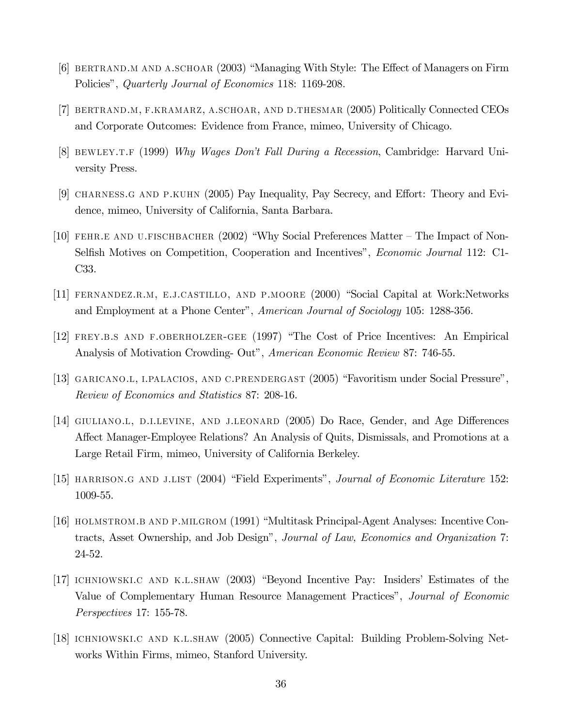- [6] bertrand.m and a.schoar (2003) "Managing With Style: The Effect of Managers on Firm Policies", *Quarterly Journal of Economics* 118: 1169-208.
- [7] bertrand.m, f.kramarz, a.schoar, and d.thesmar (2005) Politically Connected CEOs and Corporate Outcomes: Evidence from France, mimeo, University of Chicago.
- [8] BEWLEY.T.F (1999) Why Wages Don't Fall During a Recession, Cambridge: Harvard University Press.
- [9] charness.g and p.kuhn (2005) Pay Inequality, Pay Secrecy, and Effort: Theory and Evidence, mimeo, University of California, Santa Barbara.
- [10] fehr.e and u.fischbacher (2002) "Why Social Preferences Matter The Impact of Non-Selfish Motives on Competition, Cooperation and Incentives", *Economic Journal* 112: C1-C33.
- [11] fernandez.r.m, e.j.castillo, and p.moore (2000) "Social Capital at Work:Networks and Employment at a Phone Center", American Journal of Sociology 105: 1288-356.
- [12] frey.b.s and f.oberholzer-gee (1997) "The Cost of Price Incentives: An Empirical Analysis of Motivation Crowding- Out", American Economic Review 87: 746-55.
- [13] garicano.l, i.palacios, and c.prendergast (2005) "Favoritism under Social Pressure", Review of Economics and Statistics 87: 208-16.
- [14] giuliano.l, d.i.levine, and j.leonard (2005) Do Race, Gender, and Age Differences Affect Manager-Employee Relations? An Analysis of Quits, Dismissals, and Promotions at a Large Retail Firm, mimeo, University of California Berkeley.
- [15] HARRISON.G AND J.LIST (2004) "Field Experiments", *Journal of Economic Literature* 152: 1009-55.
- [16] holmstrom.b and p.milgrom (1991) "Multitask Principal-Agent Analyses: Incentive Contracts, Asset Ownership, and Job Design", Journal of Law, Economics and Organization 7: 24-52.
- [17] ichniowski.c and k.l.shaw (2003) "Beyond Incentive Pay: Insiders' Estimates of the Value of Complementary Human Resource Management Practices", Journal of Economic Perspectives 17: 155-78.
- [18] ichniowski.c and k.l.shaw (2005) Connective Capital: Building Problem-Solving Networks Within Firms, mimeo, Stanford University.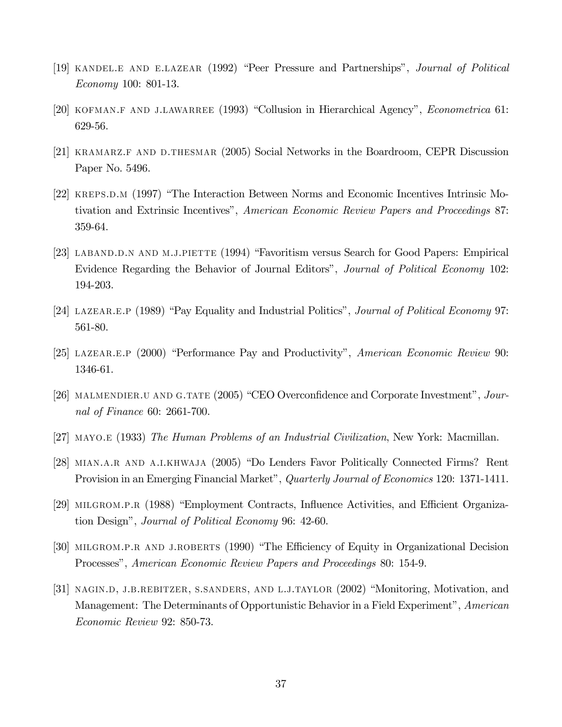- [19] kandel.e and e.lazear (1992) "Peer Pressure and Partnerships", Journal of Political Economy 100: 801-13.
- [20] KOFMAN.F AND J.LAWARREE (1993) "Collusion in Hierarchical Agency", *Econometrica* 61: 629-56.
- [21] kramarz.f and d.thesmar (2005) Social Networks in the Boardroom, CEPR Discussion Paper No. 5496.
- [22] KREPS.D.M (1997) "The Interaction Between Norms and Economic Incentives Intrinsic Motivation and Extrinsic Incentives", American Economic Review Papers and Proceedings 87: 359-64.
- [23] LABAND.D.N AND M.J.PIETTE (1994) "Favoritism versus Search for Good Papers: Empirical Evidence Regarding the Behavior of Journal Editors", *Journal of Political Economy* 102: 194-203.
- [24] LAZEAR.E.P (1989) "Pay Equality and Industrial Politics", *Journal of Political Economy* 97: 561-80.
- [25] LAZEAR.E.P (2000) "Performance Pay and Productivity", American Economic Review 90: 1346-61.
- [26] malmendier.u and g.tate (2005) "CEO Overconfidence and Corporate Investment", Journal of Finance 60: 2661-700.
- [27] mayo.e (1933) The Human Problems of an Industrial Civilization, New York: Macmillan.
- [28] mian.a.r and a.i.khwaja (2005) "Do Lenders Favor Politically Connected Firms? Rent Provision in an Emerging Financial Market", Quarterly Journal of Economics 120: 1371-1411.
- [29] MILGROM.P.R (1988) "Employment Contracts, Influence Activities, and Efficient Organization Design", Journal of Political Economy 96: 42-60.
- [30] milgrom.p.r and j.roberts (1990) "The Efficiency of Equity in Organizational Decision Processes", American Economic Review Papers and Proceedings 80: 154-9.
- [31] NAGIN.D, J.B.REBITZER, S.SANDERS, AND L.J.TAYLOR (2002) "Monitoring, Motivation, and Management: The Determinants of Opportunistic Behavior in a Field Experiment", American Economic Review 92: 850-73.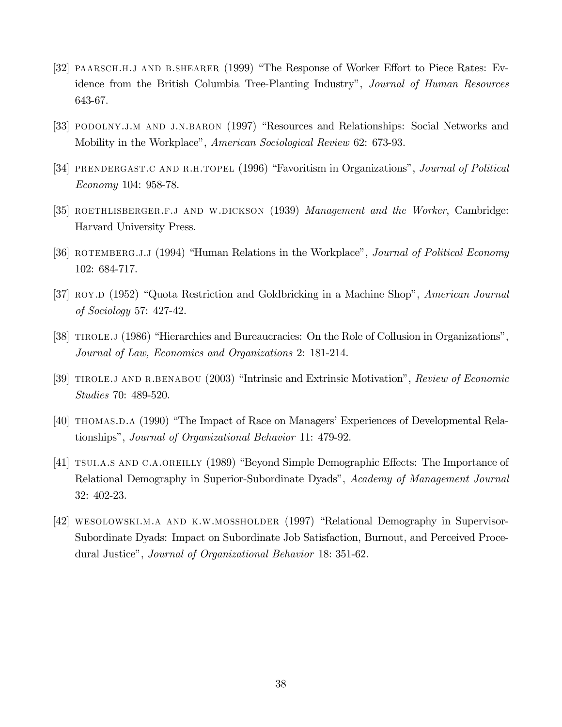- [32] paarsch.h.j and b.shearer (1999) "The Response of Worker Effort to Piece Rates: Evidence from the British Columbia Tree-Planting Industry", Journal of Human Resources 643-67.
- [33] PODOLNY.J.M AND J.N.BARON (1997) "Resources and Relationships: Social Networks and Mobility in the Workplace", *American Sociological Review* 62: 673-93.
- [34] PRENDERGAST.C AND R.H.TOPEL (1996) "Favoritism in Organizations", Journal of Political Economy 104: 958-78.
- [35] ROETHLISBERGER.F.J AND W.DICKSON (1939) Management and the Worker, Cambridge: Harvard University Press.
- [36] ROTEMBERG.J.J (1994) "Human Relations in the Workplace", Journal of Political Economy 102: 684-717.
- [37] ROY.D (1952) "Quota Restriction and Goldbricking in a Machine Shop", American Journal of Sociology 57: 427-42.
- [38] tirole.j (1986) "Hierarchies and Bureaucracies: On the Role of Collusion in Organizations", Journal of Law, Economics and Organizations 2: 181-214.
- [39] TIROLE.J AND R.BENABOU (2003) "Intrinsic and Extrinsic Motivation", Review of Economic Studies 70: 489-520.
- [40] THOMAS.D.A (1990) "The Impact of Race on Managers' Experiences of Developmental Relationships", Journal of Organizational Behavior 11: 479-92.
- [41] tsui.a.s and c.a.oreilly (1989) "Beyond Simple Demographic Effects: The Importance of Relational Demography in Superior-Subordinate Dyads", Academy of Management Journal 32: 402-23.
- [42] wesolowski.m.a and k.w.mossholder (1997) "Relational Demography in Supervisor-Subordinate Dyads: Impact on Subordinate Job Satisfaction, Burnout, and Perceived Procedural Justice", Journal of Organizational Behavior 18: 351-62.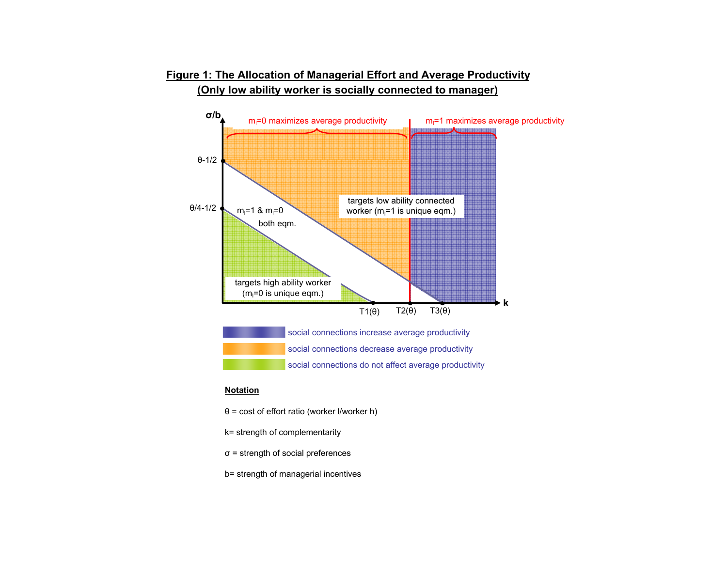## **Figure 1: The Allocation of Managerial Effort and Average Productivity (Only low ability worker is socially connected to manager)**



#### **Notation**

- θ = cost of effort ratio (worker l/worker h)
- k= strength of complementarity
- <sup>σ</sup> = strength of social preferences
- b= strength of managerial incentives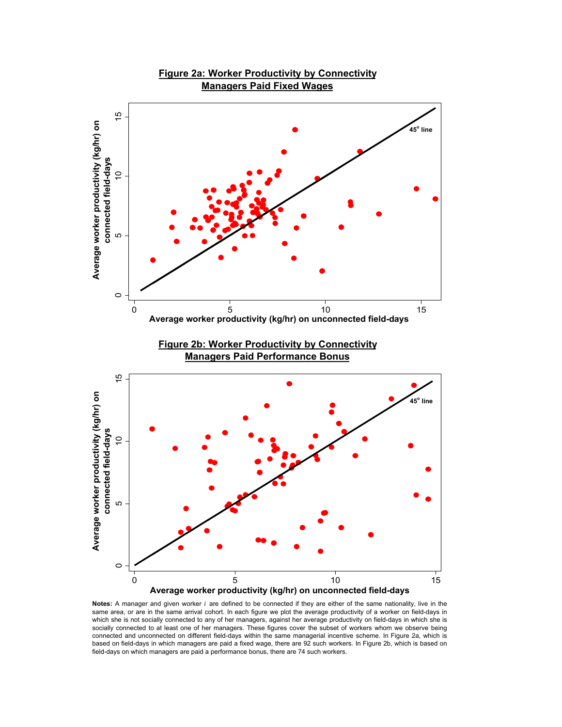

**Notes:** A manager and given worker *i* are defined to be connected if they are either of the same nationality, live in the same area, or are in the same arrival cohort. In each figure we plot the average productivity of a worker on field-days in which she is not socially connected to any of her managers, against her average productivity on field-days in which she is socially connected to at least one of her managers. These figures cover the subset of workers whom we observe being connected and unconnected on different field-days within the same managerial incentive scheme. In Figure 2a, which is based on field-days in which managers are paid a fixed wage, there are 92 such workers. In Figure 2b, which is based on field-days on which managers are paid a performance bonus, there are 74 such workers.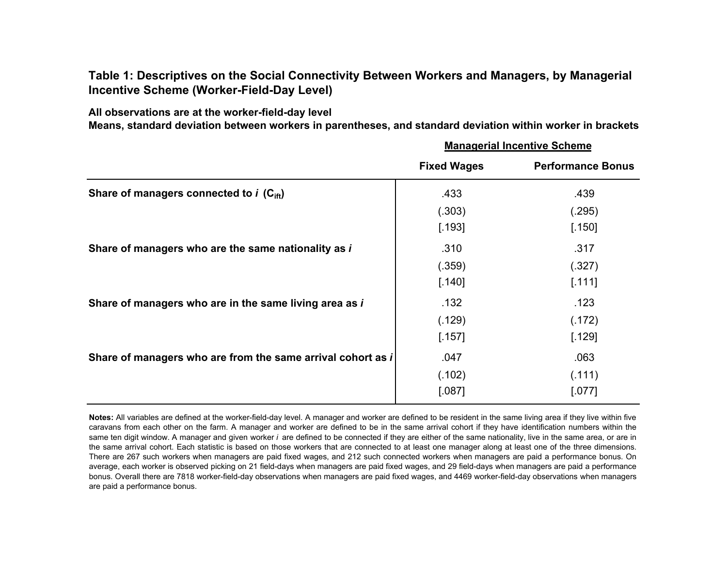## **Table 1: Descriptives on the Social Connectivity Between Workers and Managers, by Managerial Incentive Scheme (Worker-Field-Day Level)**

**All observations are at the worker-field-day level**

**Means, standard deviation between workers in parentheses, and standard deviation within worker in brackets**

**Managerial Incentive Scheme**

|                                                             | <b>Manageman moderned Ochemic</b> |                          |  |
|-------------------------------------------------------------|-----------------------------------|--------------------------|--|
|                                                             | <b>Fixed Wages</b>                | <b>Performance Bonus</b> |  |
| Share of managers connected to $i$ (C <sub>ift</sub> )      | .433                              | .439                     |  |
|                                                             | (.303)                            | (.295)                   |  |
|                                                             | [.193]                            | [.150]                   |  |
| Share of managers who are the same nationality as i         | .310                              | .317                     |  |
|                                                             | (.359)                            | (.327)                   |  |
|                                                             | [.140]                            | [.111]                   |  |
| Share of managers who are in the same living area as i      | .132                              | .123                     |  |
|                                                             | (.129)                            | (.172)                   |  |
|                                                             | [.157]                            | [.129]                   |  |
| Share of managers who are from the same arrival cohort as i | .047                              | .063                     |  |
|                                                             | (.102)                            | (.111)                   |  |
|                                                             | [.087]                            | $[.077]$                 |  |

**Notes:** All variables are defined at the worker-field-day level. A manager and worker are defined to be resident in the same living area if they live within five caravans from each other on the farm. A manager and worker are defined to be in the same arrival cohort if they have identification numbers within the same ten digit window. A manager and given worker *i* are defined to be connected if they are either of the same nationality, live in the same area, or are in the same arrival cohort. Each statistic is based on those workers that are connected to at least one manager along at least one of the three dimensions. There are 267 such workers when managers are paid fixed wages, and 212 such connected workers when managers are paid <sup>a</sup> performance bonus. On average, each worker is observed picking on 21 field-days when managers are paid fixed wages, and 29 field-days when managers are paid <sup>a</sup> performance bonus. Overall there are 7818 worker-field-day observations when managers are paid fixed wages, and 4469 worker-field-day observations when managers are paid a performance bonus.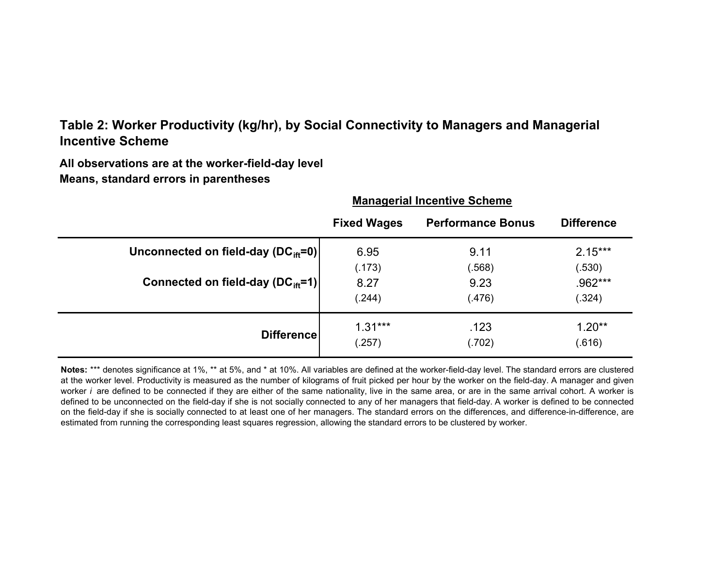## **Table 2: Worker Productivity (kg/hr), by Social Connectivity to Managers and Managerial Incentive Scheme**

**All observations are at the worker-field-day level Means, standard errors in parentheses**

|                                                                                                    | <b>Managerial Incentive Scheme</b> |                          |                                |  |  |
|----------------------------------------------------------------------------------------------------|------------------------------------|--------------------------|--------------------------------|--|--|
|                                                                                                    | <b>Fixed Wages</b>                 | <b>Performance Bonus</b> | <b>Difference</b>              |  |  |
| Unconnected on field-day (DC $_{\text{ift}}$ =0)<br>Connected on field-day (DC $_{\text{iff}}$ =1) | 6.95<br>(.173)<br>8.27             | 9.11<br>(.568)<br>9.23   | $2.15***$<br>(.530)<br>.962*** |  |  |
|                                                                                                    | (.244)                             | (.476)                   | (.324)                         |  |  |
| <b>Difference</b>                                                                                  | $1.31***$<br>(.257)                | .123<br>(.702)           | $1.20**$<br>(.616)             |  |  |

**Notes:** \*\*\* denotes significance at 1%, \*\* at 5%, and \* at 10%. All variables are defined at the worker-field-day level. The standard errors are clustered at the worker level. Productivity is measured as the number of kilograms of fruit picked per hour by the worker on the field-day. A manager and given worker *i* are defined to be connected if they are either of the same nationality, live in the same area, or are in the same arrival cohort. A worker is defined to be unconnected on the field-day if she is not socially connected to any of her managers that field-day. A worker is defined to be connected on the field-day if she is socially connected to at least one of her managers. The standard errors on the differences, and difference-in-difference, are estimated from running the corresponding least squares regression, allowing the standard errors to be clustered by worker.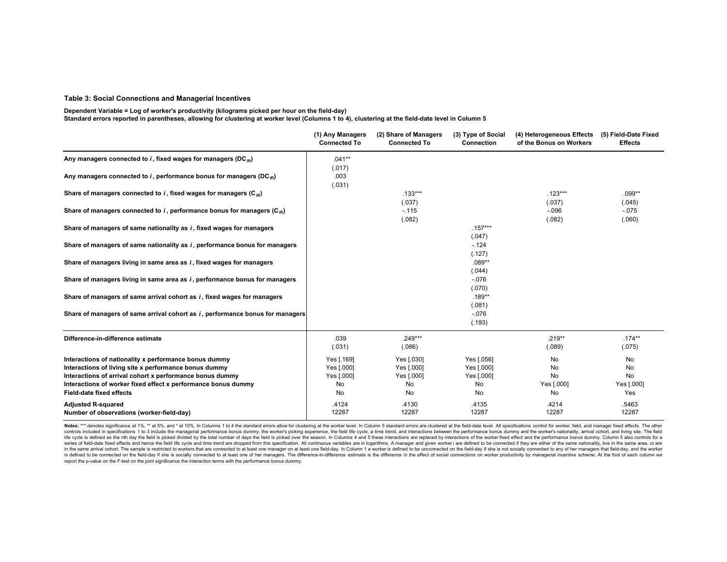#### **Table 3: Social Connections and Managerial Incentives**

**Dependent Variable = Log of worker's productivity (kilograms picked per hour on the field-day)**

**Standard errors reported in parentheses, allowing for clustering at worker level (Columns 1 to 4), clustering at the field-date level in Column 5**

|                                                                                                                | (1) Any Managers<br><b>Connected To</b> | (2) Share of Managers<br><b>Connected To</b> | (3) Type of Social<br>Connection | (4) Heterogeneous Effects<br>of the Bonus on Workers | (5) Field-Date Fixed<br><b>Effects</b> |
|----------------------------------------------------------------------------------------------------------------|-----------------------------------------|----------------------------------------------|----------------------------------|------------------------------------------------------|----------------------------------------|
| Any managers connected to i, fixed wages for managers (DC $_{\text{in}}$ )                                     | $.041**$<br>(.017)                      |                                              |                                  |                                                      |                                        |
| Any managers connected to i, performance bonus for managers (DC $_{\text{in}}$ )                               | .003<br>(.031)                          |                                              |                                  |                                                      |                                        |
| Share of managers connected to i, fixed wages for managers $(C_{in})$                                          |                                         | $.133***$<br>(.037)                          |                                  | $.123***$<br>(.037)                                  | $.099**$<br>(.045)                     |
| Share of managers connected to i, performance bonus for managers $(C_{in})$                                    |                                         | $-.115$<br>(.082)                            |                                  | $-.096$<br>(.082)                                    | $-.075$<br>(.060)                      |
| Share of managers of same nationality as <i>i</i> , fixed wages for managers                                   |                                         |                                              | $.157***$<br>(.047)              |                                                      |                                        |
| Share of managers of same nationality as <i>i</i> , performance bonus for managers                             |                                         |                                              | $-.124$<br>(.127)                |                                                      |                                        |
| Share of managers living in same area as i, fixed wages for managers                                           |                                         |                                              | $.089**$<br>(.044)               |                                                      |                                        |
| Share of managers living in same area as i, performance bonus for managers                                     |                                         |                                              | $-.076$<br>(.070)                |                                                      |                                        |
| Share of managers of same arrival cohort as i, fixed wages for managers                                        |                                         |                                              | $.189**$<br>(.081)               |                                                      |                                        |
| Share of managers of same arrival cohort as i, performance bonus for managers                                  |                                         |                                              | $-.076$<br>(.193)                |                                                      |                                        |
| Difference-in-difference estimate                                                                              | .039<br>(.031)                          | .249***<br>(.086)                            |                                  | $.219**$<br>(.089)                                   | $.174***$<br>(.075)                    |
| Interactions of nationality x performance bonus dummy<br>Interactions of living site x performance bonus dummy | Yes [.169]<br>Yes [.000]                | Yes [.030]<br>Yes [.000]                     | Yes [.056]<br>Yes [.000]         | No<br>No                                             | No<br>No                               |
| Interactions of arrival cohort x performance bonus dummy                                                       | Yes [.000]                              | Yes [.000]                                   | Yes [.000]                       | No                                                   | No                                     |
| Interactions of worker fixed effect x performance bonus dummy                                                  | No                                      | No                                           | No                               | Yes [.000]                                           | Yes [.000]                             |
| <b>Field-date fixed effects</b>                                                                                | No                                      | No                                           | <b>No</b>                        | No                                                   | Yes                                    |
| <b>Adjusted R-squared</b><br>Number of observations (worker-field-day)                                         | .4124<br>12287                          | .4130<br>12287                               | .4135<br>12287                   | .4214<br>12287                                       | .5463<br>12287                         |

Notes: \*\*\* denotes significance at 1%, \*\* at 5%, and \* at 10%. In Columns 1 to 4 the standard errors allow for clustering at the worker level. In Column 5 standard errors are clustered at the field-date level. All specific controls included in specifications 1 to 3 include the managerial performance bonus dummy, the worker's picking experience, the field life cycle, a time trend, and interactions between the performance bonus dummy and the w life cycle is defined as the nth day the field is picked divided by the total number of days the field is picked over the season. In Columns 4 and 5 these interactions are replaced by interactions of the worker fixed effec series of field-date fixed effects and hence the field life cycle and time trend are dropped from this specification. All continuous variables are in logarithms. A manager and given worker i are defined to be connected if in the same arrival cohort. The sample is restricted to workers that are connected to at least one manager on at least one manager on at least one field-day. In Column 1 a worker is defined to be unconnected on the field-d is defined to be connected on the field-day if she is socially connected to at least one of her managers. The difference-in-difference interestinate is the difference in the effect of social connections on worker productiv report the p-value on the F-test on the joint significance the interaction terms with the performance bonus dummy.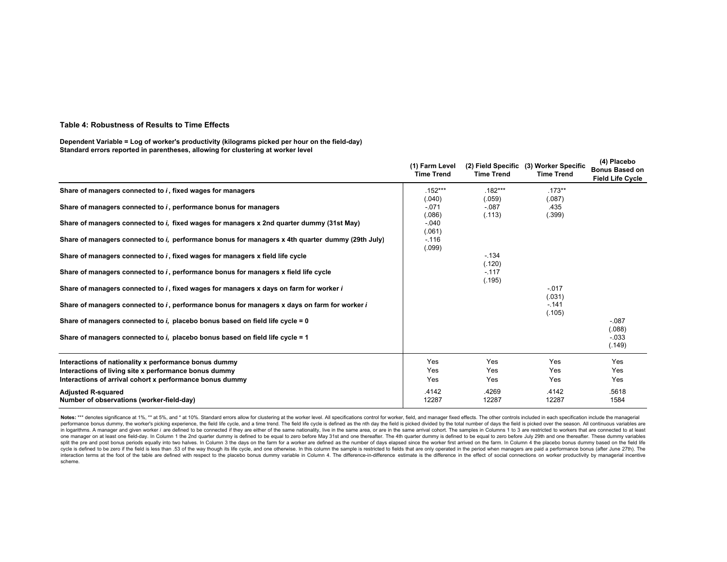#### **Table 4: Robustness of Results to Time Effects**

#### **Dependent Variable = Log of worker's productivity (kilograms picked per hour on the field-day) Standard errors reported in parentheses, allowing for clustering at worker level**

|                                                                                                                   | (1) Farm Level<br><b>Time Trend</b> | <b>Time Trend</b>   | (2) Field Specific (3) Worker Specific<br><b>Time Trend</b> | (4) Placebo<br><b>Bonus Based on</b><br><b>Field Life Cycle</b> |
|-------------------------------------------------------------------------------------------------------------------|-------------------------------------|---------------------|-------------------------------------------------------------|-----------------------------------------------------------------|
| Share of managers connected to i, fixed wages for managers                                                        | $.152***$<br>(.040)                 | $.182***$<br>(.059) | $.173**$<br>(.087)                                          |                                                                 |
| Share of managers connected to <i>i</i> , performance bonus for managers                                          | $-.071$<br>(.086)                   | $-.087$<br>(.113)   | .435<br>(.399)                                              |                                                                 |
| Share of managers connected to <i>i</i> , fixed wages for managers x 2nd quarter dummy (31st May)                 | $-.040$<br>(.061)                   |                     |                                                             |                                                                 |
| Share of managers connected to <i>i</i> , performance bonus for managers x 4th quarter dummy (29th July)          | $-.116$<br>(.099)                   |                     |                                                             |                                                                 |
| Share of managers connected to i, fixed wages for managers x field life cycle                                     |                                     | $-134$<br>(.120)    |                                                             |                                                                 |
| Share of managers connected to <i>i</i> , performance bonus for managers x field life cycle                       |                                     | $-.117$<br>(.195)   |                                                             |                                                                 |
| Share of managers connected to i, fixed wages for managers x days on farm for worker i                            |                                     |                     | $-.017$<br>(.031)                                           |                                                                 |
| Share of managers connected to i, performance bonus for managers x days on farm for worker i                      |                                     |                     | $-.141$<br>(.105)                                           |                                                                 |
| Share of managers connected to $i$ , placebo bonus based on field life cycle = 0                                  |                                     |                     |                                                             | $-.087$<br>(.088)                                               |
| Share of managers connected to <i>i</i> , placebo bonus based on field life cycle = 1                             |                                     |                     |                                                             | $-.033$<br>(.149)                                               |
| Interactions of nationality x performance bonus dummy                                                             | Yes                                 | Yes                 | Yes                                                         | Yes                                                             |
| Interactions of living site x performance bonus dummy<br>Interactions of arrival cohort x performance bonus dummy | Yes<br>Yes                          | Yes<br>Yes          | Yes<br>Yes                                                  | Yes<br>Yes                                                      |
| <b>Adjusted R-squared</b><br>Number of observations (worker-field-day)                                            | .4142<br>12287                      | .4269<br>12287      | .4142<br>12287                                              | .5618<br>1584                                                   |

Notes: \*\*\* denotes significance at 1%, \*\* at 5%, and \* at 10%. Standard errors allow for clustering at the worker level. All specifications control for worker, field, and manager fixed effects. The other controls included performance bonus dummy, the worker's picking experience, the field life cycle, and a time trend. The field life cycle is defined as the nth day the field is picked divided by the total number of days the field is picked o in logarithms. A manager and given worker i are defined to be connected if they are either of the same nationality, live in the same area, or are in the same arrival cohort. The samples in Columns 1 to 3 are restricted to one manager on at least one field-day. In Column 1 the 2nd quarter dummy is defined to be equal to zero before May 31st and one thereafter. The 4th quarter dummy is defined to be equal to zero before July 29th and one ther split the pre and post bonus periods equally into two halves. In Column 3 the days on the farm for a worker are defined as the number of days elapsed since the worker first arrived on the farm. In Column 4 the placebo bonu cycle is defined to be zero if the field is less than .53 of the way though its life cycle, and one otherwise. In this column the sample is restricted to fields that are only operated in the period when managers are paid a interaction terms at the foot of the table are defined with respect to the placebo bonus dummy variable in Column 4. The difference-in-difference estimate is the difference in the effect of social connections on worker pro scheme.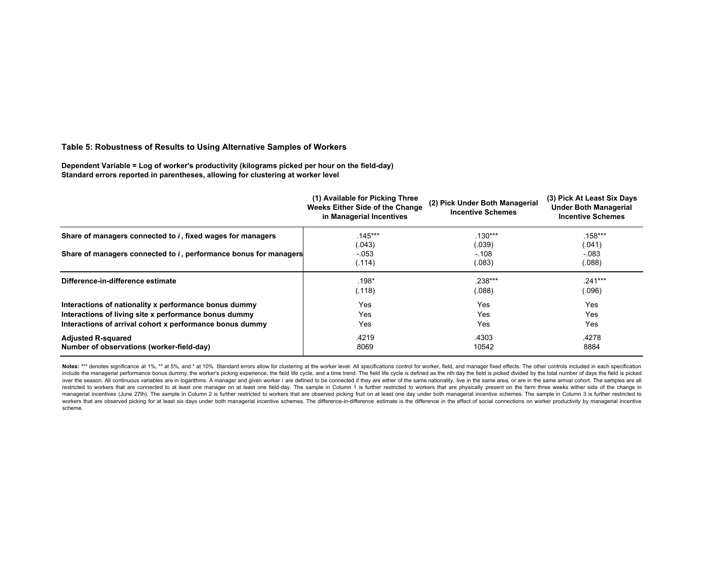#### **Table 5: Robustness of Results to Using Alternative Samples of Workers**

**Dependent Variable = Log of worker's productivity (kilograms picked per hour on the field-day) Standard errors reported in parentheses, allowing for clustering at worker level**

|                                                                          | (1) Available for Picking Three<br><b>Weeks Either Side of the Change</b><br>in Managerial Incentives | (2) Pick Under Both Managerial<br><b>Incentive Schemes</b> | (3) Pick At Least Six Days<br><b>Under Both Managerial</b><br><b>Incentive Schemes</b> |
|--------------------------------------------------------------------------|-------------------------------------------------------------------------------------------------------|------------------------------------------------------------|----------------------------------------------------------------------------------------|
| Share of managers connected to <i>i</i> , fixed wages for managers       | $.145***$                                                                                             | $.130***$                                                  | $.158***$                                                                              |
|                                                                          | (.043)                                                                                                | (.039)                                                     | (.041)                                                                                 |
| Share of managers connected to <i>i</i> , performance bonus for managers | $-053$                                                                                                | $-108$                                                     | $-083$                                                                                 |
|                                                                          | (.114)                                                                                                | (.083)                                                     | (.088)                                                                                 |
| Difference-in-difference estimate                                        | $.198*$                                                                                               | $.238***$                                                  | $.241***$                                                                              |
|                                                                          | (.118)                                                                                                | (.088)                                                     | (.096)                                                                                 |
| Interactions of nationality x performance bonus dummy                    | Yes                                                                                                   | Yes                                                        | Yes                                                                                    |
| Interactions of living site x performance bonus dummy                    | Yes                                                                                                   | Yes                                                        | Yes                                                                                    |
| Interactions of arrival cohort x performance bonus dummy                 | Yes                                                                                                   | Yes                                                        | Yes                                                                                    |
| <b>Adjusted R-squared</b>                                                | .4219                                                                                                 | .4303                                                      | .4278                                                                                  |
| Number of observations (worker-field-day)                                | 8069                                                                                                  | 10542                                                      | 8884                                                                                   |

Notes: \*\*\* denotes significance at 1%, \*\* at 5%, and \* at 10%. Standard errors allow for clustering at the worker level. All specifications control for worker, field, and manager fixed effects. The other controls included include the managerial performance bonus dummy, the worker's picking experience, the field life cycle, and a time trend. The field life cycle is defined as the nth day the field is picked divided by the total number of day over the season. All continuous variables are in logarithms. A manager and given worker i are defined to be connected if they are either of the same nationality, live in the same area, or are in the same arrival cohort. Th restricted to workers that are connected to at least one manager on at least one field-day. The sample in Column 1 is further restricted to workers that are physically present on the farm three weeks wither side of the cha managerial incentives (June 27th). The sample in Column 2 is further restricted to workers that are observed picking fruit on at least one day under both managerial incentive schemes. The sample in Column 3 is further rest workers that are observed picking for at least six days under both managerial incentive schemes. The difference-in-difference estimate is the difference in the effect of social connections on worker productivity by manager scheme.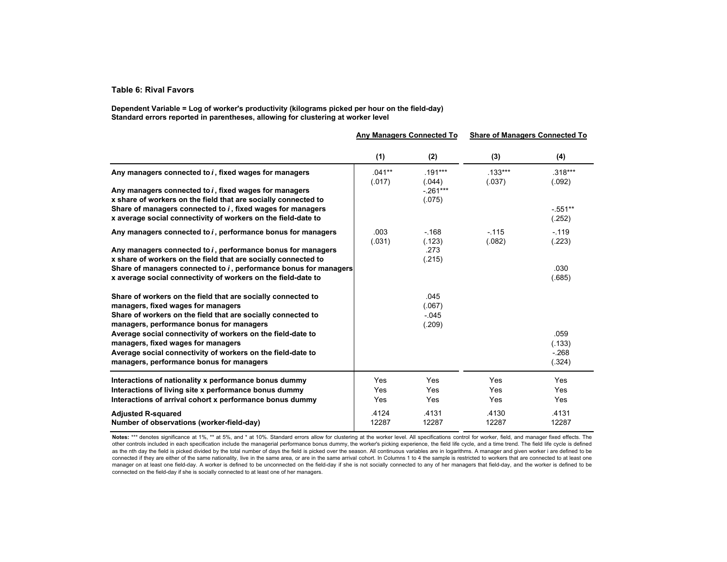#### **Table 6: Rival Favors**

**Dependent Variable = Log of worker's productivity (kilograms picked per hour on the field-day) Standard errors reported in parentheses, allowing for clustering at worker level**

|                                                                                                                                       | <b>Any Managers Connected To</b> |                     | <b>Share of Managers Connected To</b> |                     |
|---------------------------------------------------------------------------------------------------------------------------------------|----------------------------------|---------------------|---------------------------------------|---------------------|
|                                                                                                                                       | (1)                              | (2)                 | (3)                                   | (4)                 |
| Any managers connected to <i>i</i> , fixed wages for managers                                                                         | $.041**$<br>(.017)               | $.191***$<br>(.044) | $.133***$<br>(.037)                   | $.318***$<br>(.092) |
| Any managers connected to <i>i</i> , fixed wages for managers                                                                         |                                  | $-261***$           |                                       |                     |
| x share of workers on the field that are socially connected to                                                                        |                                  | (.075)              |                                       |                     |
| Share of managers connected to <i>i</i> , fixed wages for managers                                                                    |                                  |                     |                                       | $-551**$            |
| x average social connectivity of workers on the field-date to                                                                         |                                  |                     |                                       | (.252)              |
| Any managers connected to <i>i</i> , performance bonus for managers                                                                   | .003                             | $-168$              | $-115$                                | $-119$              |
|                                                                                                                                       | (.031)                           | (.123)              | (.082)                                | (.223)              |
| Any managers connected to <i>i</i> , performance bonus for managers<br>x share of workers on the field that are socially connected to |                                  | .273<br>(.215)      |                                       |                     |
| Share of managers connected to <i>i</i> , performance bonus for managers                                                              |                                  |                     |                                       | .030                |
| x average social connectivity of workers on the field-date to                                                                         |                                  |                     |                                       | (.685)              |
|                                                                                                                                       |                                  |                     |                                       |                     |
| Share of workers on the field that are socially connected to                                                                          |                                  | .045                |                                       |                     |
| managers, fixed wages for managers                                                                                                    |                                  | (067)               |                                       |                     |
| Share of workers on the field that are socially connected to                                                                          |                                  | $-.045$             |                                       |                     |
| managers, performance bonus for managers                                                                                              |                                  | (.209)              |                                       | .059                |
| Average social connectivity of workers on the field-date to<br>managers, fixed wages for managers                                     |                                  |                     |                                       | (.133)              |
| Average social connectivity of workers on the field-date to                                                                           |                                  |                     |                                       | $-268$              |
| managers, performance bonus for managers                                                                                              |                                  |                     |                                       | (.324)              |
|                                                                                                                                       | Yes                              | Yes                 | Yes                                   | Yes                 |
| Interactions of nationality x performance bonus dummy<br>Interactions of living site x performance bonus dummy                        | Yes                              | Yes                 | Yes                                   | Yes                 |
| Interactions of arrival cohort x performance bonus dummy                                                                              | Yes                              | Yes                 | Yes                                   | Yes                 |
|                                                                                                                                       |                                  |                     |                                       |                     |
| <b>Adjusted R-squared</b>                                                                                                             | .4124                            | .4131               | .4130                                 | .4131               |
| Number of observations (worker-field-day)                                                                                             | 12287                            | 12287               | 12287                                 | 12287               |

**Notes:** \*\*\* denotes significance at 1%, \*\* at 5%, and \* at 10%. Standard errors allow for clustering at the worker level. All specifications control for worker, field, and manager fixed effects. The other controls included in each specification include the managerial performance bonus dummy, the worker's picking experience, the field life cycle, and <sup>a</sup> time trend. The field life cycle is defined as the nth day the field is picked divided by the total number of days the field is picked over the season. All continuous variables are in logarithms. A manager and given worker i are defined to be connected if they are either of the same nationality, live in the same area, or are in the same arrival cohort. In Columns 1 to 4 the sample is restricted to workers that are connected to at least one manager on at least one field-day. A worker is defined to be unconnected on the field-day if she is not socially connected to any of her managers that field-day, and the worker is defined to be connected on the field-day if she is socially connected to at least one of her managers.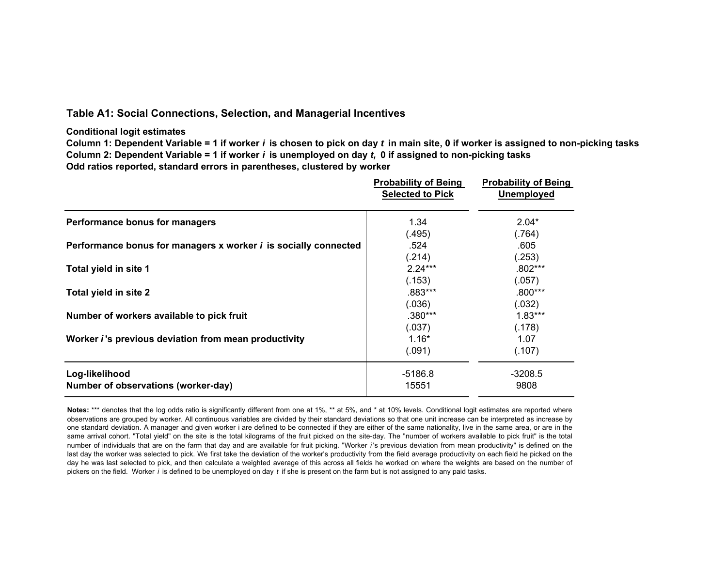### **Table A1: Social Connections, Selection, and Managerial Incentives**

**Conditional logit estimates**

**Column 1: Dependent Variable = 1 if worker** *i* **is chosen to pick on day** *t* **in main site, 0 if worker is assigned to non-picking tasks Column 2: Dependent Variable = 1 if worker** *i* **is unemployed on day** *t,* **0 if assigned to non-picking tasks Odd ratios reported, standard errors in parentheses, clustered by worker**

|                                                                        | <b>Probability of Being</b><br><b>Selected to Pick</b> | <b>Probability of Being</b><br><b>Unemployed</b> |
|------------------------------------------------------------------------|--------------------------------------------------------|--------------------------------------------------|
| Performance bonus for managers                                         | 1.34                                                   | $2.04*$                                          |
|                                                                        | (.495)                                                 | (.764)                                           |
| Performance bonus for managers x worker <i>i</i> is socially connected | .524                                                   | .605                                             |
|                                                                        | (.214)                                                 | (.253)                                           |
| Total yield in site 1                                                  | $2.24***$                                              | .802***                                          |
|                                                                        | (.153)                                                 | (.057)                                           |
| Total yield in site 2                                                  | .883***                                                | .800***                                          |
|                                                                        | (.036)                                                 | (.032)                                           |
| Number of workers available to pick fruit                              | .380***                                                | $1.83***$                                        |
|                                                                        | (.037)                                                 | (.178)                                           |
| Worker <i>i's</i> previous deviation from mean productivity            | $1.16*$                                                | 1.07                                             |
|                                                                        | (.091)                                                 | (.107)                                           |
| Log-likelihood                                                         | $-5186.8$                                              | $-3208.5$                                        |
| Number of observations (worker-day)                                    | 15551                                                  | 9808                                             |

**Notes:** \*\*\* denotes that the log odds ratio is significantly different from one at 1%, \*\* at 5%, and \* at 10% levels. Conditional logit estimates are reported where observations are grouped by worker. All continuous variables are divided by their standard deviations so that one unit increase can be interpreted as increase by one standard deviation. A manager and given worker i are defined to be connected if they are either of the same nationality, live in the same area, or are in the same arrival cohort. "Total yield" on the site is the total kilograms of the fruit picked on the site-day. The "number of workers available to pick fruit" is the total number of individuals that are on the farm that day and are available for fruit picking. "Worker *i* 's previous deviation from mean productivity" is defined on the last day the worker was selected to pick. We first take the deviation of the worker's productivity from the field average productivity on each field he picked on the day he was last selected to pick, and then calculate a weighted average of this across all fields he worked on where the weights are based on the number of pickers on the field. Worker *i* is defined to be unemployed on day *t* if she is present on the farm but is not assigned to any paid tasks.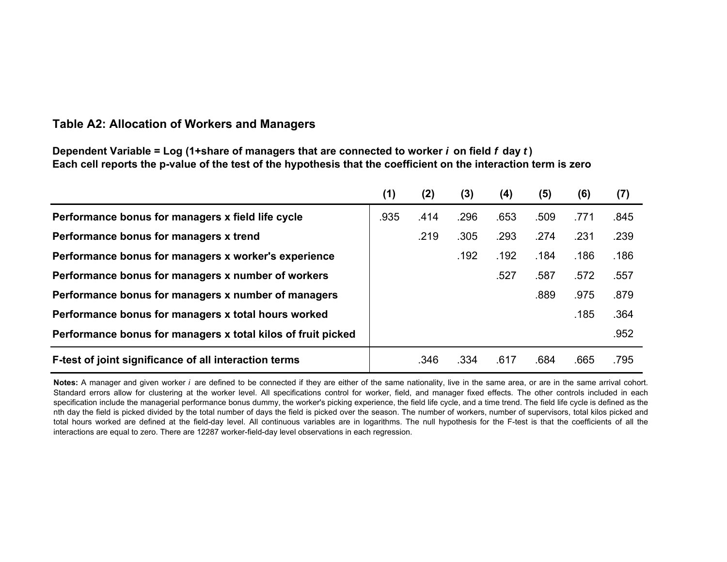## **Table A2: Allocation of Workers and Managers**

**Dependent Variable = Log (1+share of managers that are connected to worker** *i* **on field** *f* **day** *t* **) Each cell reports the p-value of the test of the hypothesis that the coefficient on the interaction term is zero**

|                                                              | (1)  | (2)  | (3)  | (4)  | (5)  | (6)  | (7)  |
|--------------------------------------------------------------|------|------|------|------|------|------|------|
| Performance bonus for managers x field life cycle            | .935 | .414 | .296 | .653 | .509 | .771 | .845 |
| Performance bonus for managers x trend                       |      | .219 | .305 | .293 | .274 | .231 | .239 |
| Performance bonus for managers x worker's experience         |      |      | .192 | .192 | .184 | .186 | .186 |
| Performance bonus for managers x number of workers           |      |      |      | .527 | .587 | .572 | .557 |
| Performance bonus for managers x number of managers          |      |      |      |      | .889 | .975 | .879 |
| Performance bonus for managers x total hours worked          |      |      |      |      |      | .185 | .364 |
| Performance bonus for managers x total kilos of fruit picked |      |      |      |      |      |      | .952 |
| F-test of joint significance of all interaction terms        |      | .346 | .334 | .617 | .684 | .665 | .795 |

**Notes:** A manager and given worker *i* are defined to be connected if they are either of the same nationality, live in the same area, or are in the same arrival cohort. Standard errors allow for clustering at the worker level. All specifications control for worker, field, and manager fixed effects. The other controls included in each specification include the managerial performance bonus dummy, the worker's picking experience, the field life cycle, and a time trend. The field life cycle is defined as the nth day the field is picked divided by the total number of days the field is picked over the season. The number of workers, number of supervisors, total kilos picked and total hours worked are defined at the field-day level. All continuous variables are in logarithms. The null hypothesis for the F-test is that the coefficients of all the interactions are equal to zero. There are 12287 worker-field-day level observations in each regression.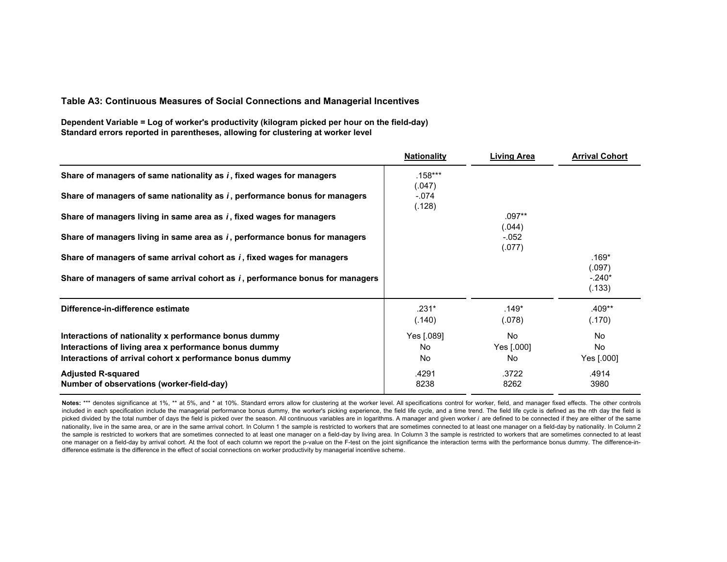### **Table A3: Continuous Measures of Social Connections and Managerial Incentives**

**Dependent Variable = Log of worker's productivity (kilogram picked per hour on the field-day) Standard errors reported in parentheses, allowing for clustering at worker level**

|                                                                                                                   | <b>Nationality</b>  | <b>Living Area</b> | <b>Arrival Cohort</b>   |
|-------------------------------------------------------------------------------------------------------------------|---------------------|--------------------|-------------------------|
| Share of managers of same nationality as <i>i</i> , fixed wages for managers                                      | $.158***$<br>(.047) |                    |                         |
| Share of managers of same nationality as <i>i</i> , performance bonus for managers                                | $-.074$<br>(.128)   |                    |                         |
| Share of managers living in same area as <i>i</i> , fixed wages for managers                                      |                     | $.097**$<br>(.044) |                         |
| Share of managers living in same area as i, performance bonus for managers                                        |                     | $-.052$<br>(.077)  |                         |
| Share of managers of same arrival cohort as <i>i</i> , fixed wages for managers                                   |                     |                    | $.169*$<br>(.097)       |
| Share of managers of same arrival cohort as i, performance bonus for managers                                     |                     |                    | $-.240*$<br>(.133)      |
| Difference-in-difference estimate                                                                                 | $.231*$<br>(.140)   | .149*<br>(.078)    | .409**<br>(.170)        |
| Interactions of nationality x performance bonus dummy                                                             | Yes [.089]          | No                 | No.                     |
| Interactions of living area x performance bonus dummy<br>Interactions of arrival cohort x performance bonus dummy | No<br>No.           | Yes [.000]<br>No.  | <b>No</b><br>Yes [.000] |
| <b>Adjusted R-squared</b><br>Number of observations (worker-field-day)                                            | .4291<br>8238       | .3722<br>8262      | .4914<br>3980           |

Notes: \*\*\* denotes significance at 1%, \*\* at 5%, and \* at 10%. Standard errors allow for clustering at the worker level. All specifications control for worker, field, and manager fixed effects. The other controls included in each specification include the managerial performance bonus dummy, the worker's picking experience, the field life cycle, and a time trend. The field life cycle is defined as the nth day the field is picked divided by the total number of days the field is picked over the season. All continuous variables are in logarithms. A manager and given worker *i* are defined to be connected if they are either of the same nationality, live in the same area, or are in the same arrival cohort. In Column 1 the sample is restricted to workers that are sometimes connected to at least one manager on a field-day by nationality. In Column 2 the sample is restricted to workers that are sometimes connected to at least one manager on a field-day by living area. In Column 3 the sample is restricted to workers that are sometimes connected to at least one manager on a field-day by arrival cohort. At the foot of each column we report the p-value on the F-test on the joint significance the interaction terms with the performance bonus dummy. The difference-indifference estimate is the difference in the effect of social connections on worker productivity by managerial incentive scheme.